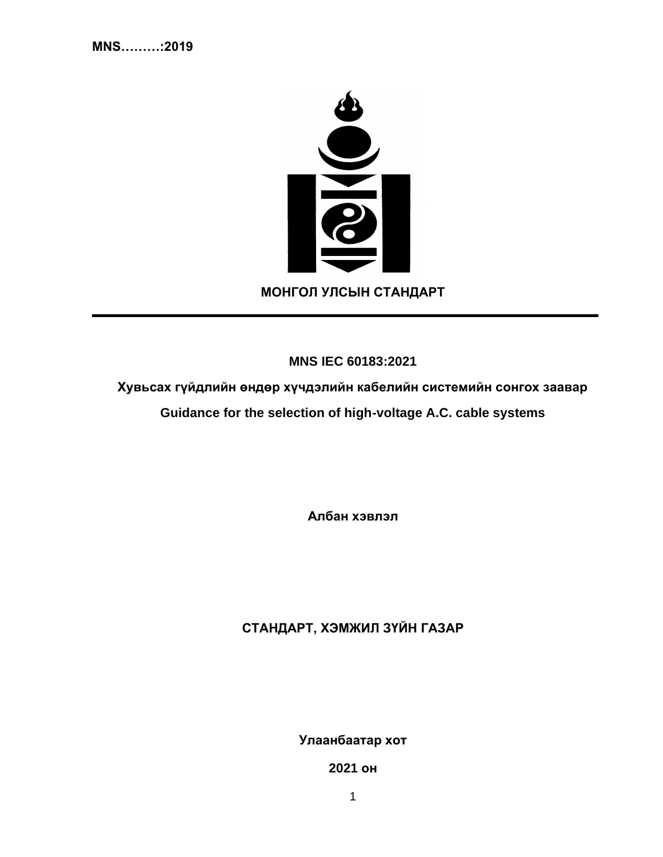

**MNS IEC 60183:2021**

**Хувьсах гүйдлийн өндөр хүчдэлийн кабелийн системийн сонгох заавар Guidance for the selection of high-voltage A.C. cable systems**

**Албан хэвлэл**

**СТАНДАРТ, ХЭМЖИЛ ЗҮЙН ГАЗАР**

**Улаанбаатар хот**

**2021 он**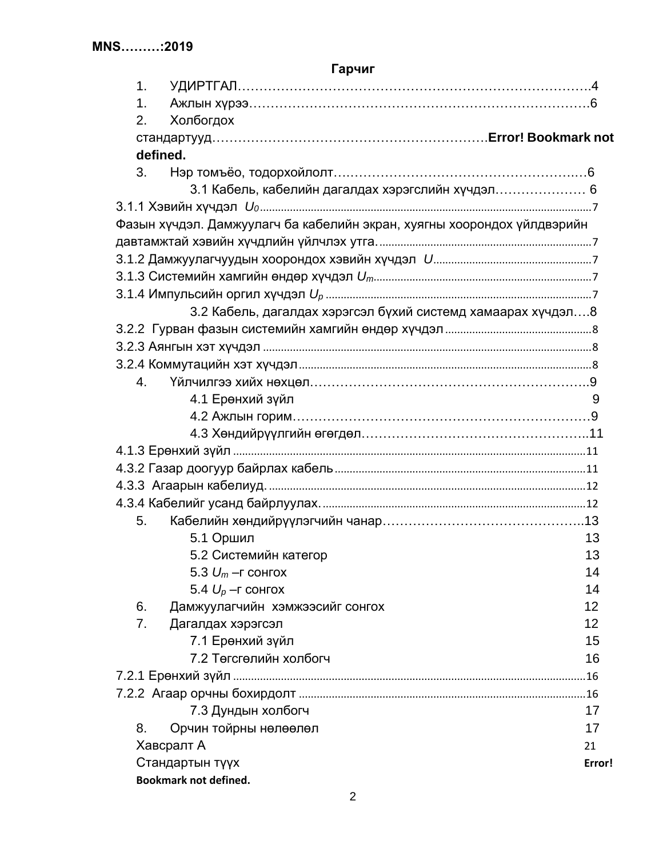|                              | <b>Гарчиг</b>                                                           |        |
|------------------------------|-------------------------------------------------------------------------|--------|
| 1.                           |                                                                         |        |
| 1.                           |                                                                         |        |
| 2.                           | Холбогдох                                                               |        |
|                              |                                                                         |        |
|                              | defined.                                                                |        |
| 3.                           |                                                                         |        |
|                              | 3.1 Кабель, кабелийн дагалдах хэрэгслийн хүчдэл 6                       |        |
|                              |                                                                         |        |
|                              | Фазын хүчдэл. Дамжуулагч ба кабелийн экран, хуягны хоорондох үйлдвэрийн |        |
|                              |                                                                         |        |
|                              |                                                                         |        |
|                              |                                                                         |        |
|                              |                                                                         |        |
|                              | 3.2 Кабель, дагалдах хэрэгсэл бүхий системд хамаарах хүчдэл8            |        |
|                              |                                                                         |        |
|                              |                                                                         |        |
|                              |                                                                         |        |
| 4.                           |                                                                         |        |
|                              | 4.1 Ерөнхий зүйл                                                        | 9      |
|                              |                                                                         |        |
|                              |                                                                         |        |
|                              |                                                                         |        |
|                              |                                                                         |        |
|                              |                                                                         |        |
|                              |                                                                         |        |
| 5.                           |                                                                         |        |
|                              | 5.1 Оршил                                                               | 13     |
|                              | 5.2 Системийн категор                                                   | 13     |
|                              | 5.3 $U_m$ – г сонгох                                                    | 14     |
|                              | 5.4 $U_p$ –г сонгох                                                     | 14     |
| 6.                           | Дамжуулагчийн хэмжээсийг сонгох                                         | 12     |
| 7.                           | Дагалдах хэрэгсэл                                                       | 12     |
|                              | 7.1 Ерөнхий зүйл                                                        | 15     |
|                              | 7.2 Төгсгөлийн холбогч                                                  | 16     |
|                              |                                                                         |        |
|                              |                                                                         |        |
|                              | 7.3 Дундын холбогч                                                      | 17     |
| 8.                           | Орчин тойрны нөлөөлөл                                                   | 17     |
|                              | Хавсралт А                                                              | 21     |
|                              | Стандартын түүх                                                         | Error! |
| <b>Bookmark not defined.</b> |                                                                         |        |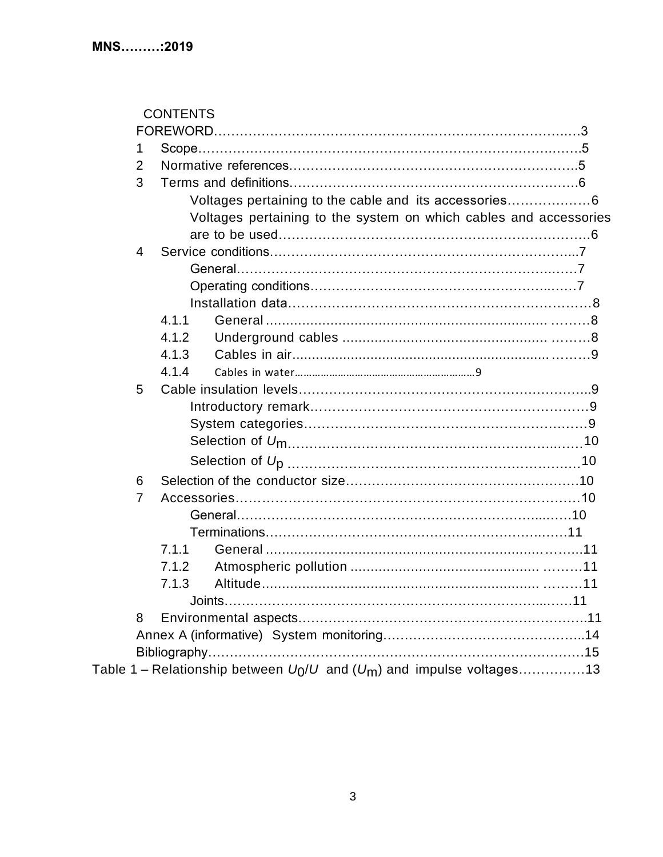|                | <b>CONTENTS</b> |                                                                           |  |
|----------------|-----------------|---------------------------------------------------------------------------|--|
|                |                 |                                                                           |  |
| 1              |                 |                                                                           |  |
| 2              |                 |                                                                           |  |
| 3              |                 |                                                                           |  |
|                |                 | Voltages pertaining to the cable and its accessories6                     |  |
|                |                 | Voltages pertaining to the system on which cables and accessories         |  |
|                |                 |                                                                           |  |
| $\overline{4}$ |                 |                                                                           |  |
|                |                 |                                                                           |  |
|                |                 |                                                                           |  |
|                |                 |                                                                           |  |
|                | 4.1.1           |                                                                           |  |
|                | 4.1.2           |                                                                           |  |
|                | 4.1.3           |                                                                           |  |
|                | 4.1.4           |                                                                           |  |
| 5              |                 |                                                                           |  |
|                |                 |                                                                           |  |
|                |                 |                                                                           |  |
|                |                 |                                                                           |  |
|                |                 |                                                                           |  |
| 6              |                 |                                                                           |  |
| $\overline{7}$ |                 |                                                                           |  |
|                |                 |                                                                           |  |
|                |                 |                                                                           |  |
|                | 7.1.1           |                                                                           |  |
|                | 7.1.2           |                                                                           |  |
|                | 7.1.3           |                                                                           |  |
|                |                 |                                                                           |  |
| 8              |                 |                                                                           |  |
|                |                 |                                                                           |  |
|                |                 |                                                                           |  |
|                |                 | Table 1 – Relationship between $U_0/U$ and $(U_m)$ and impulse voltages13 |  |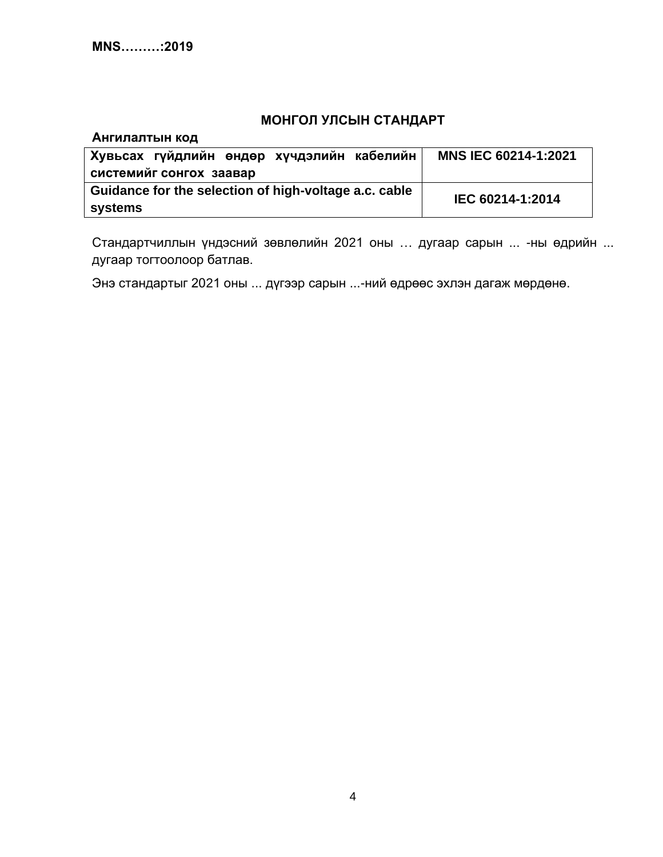# **МОНГОЛ УЛСЫН СТАНДАРТ**

| Ангилалтын код                                        |                             |  |
|-------------------------------------------------------|-----------------------------|--|
| Хувьсах гүйдлийн өндөр хүчдэлийн кабелийн             | <b>MNS IEC 60214-1:2021</b> |  |
| системийг сонгох заавар                               |                             |  |
| Guidance for the selection of high-voltage a.c. cable | IEC 60214-1:2014            |  |
| systems                                               |                             |  |

Стандартчиллын үндэсний зөвлөлийн 2021 оны … дугаар сарын ... -ны өдрийн ... дугаар тогтоолоор батлав.

Энэ стандартыг 2021 оны ... дүгээр сарын ...-ний өдрөөс эхлэн дагаж мөрдөнө.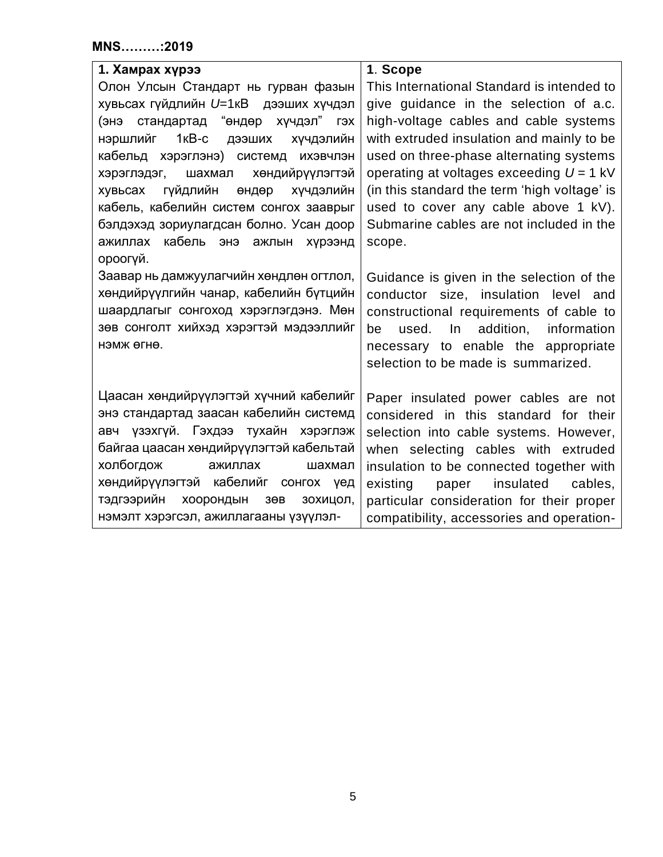| 1. Хамрах хүрээ                                         | 1. Scope                                     |
|---------------------------------------------------------|----------------------------------------------|
| Олон Улсын Стандарт нь гурван фазын                     | This International Standard is intended to   |
| хувьсах гүйдлийн U=1кВ дээших хүчдэл                    | give guidance in the selection of a.c.       |
| (энэ стандартад "өндөр хүчдэл" гэх                      | high-voltage cables and cable systems        |
| 1кВ-с<br>нэршлийг<br>дээших<br>Хүчдэлийн                | with extruded insulation and mainly to be    |
| кабельд хэрэглэнэ) системд ихэвчлэн                     | used on three-phase alternating systems      |
| хөндийрүүлэгтэй<br>хэрэглэдэг, шахмал                   | operating at voltages exceeding $U = 1$ kV   |
| <b>Г</b> үйдлийн<br>Хүчдэлийн<br>өндөр<br>хувьсах       | (in this standard the term 'high voltage' is |
| кабель, кабелийн систем сонгох зааврыг                  | used to cover any cable above 1 kV).         |
| бэлдэхэд зориулагдсан болно. Усан доор                  | Submarine cables are not included in the     |
| кабель энэ ажлын хүрээнд<br>ажиллах                     | scope.                                       |
| ороогүй.                                                |                                              |
| Заавар нь дамжуулагчийн хөндлөн огтлол,                 | Guidance is given in the selection of the    |
| хөндийрүүлгийн чанар, кабелийн бүтцийн                  | conductor size, insulation level and         |
| шаардлагыг сонгоход хэрэглэгдэнэ. Мөн                   | constructional requirements of cable to      |
| зөв сонголт хийхэд хэрэгтэй мэдээллийг                  | used.<br>In addition,<br>information<br>be   |
| нэмж өгнө.                                              | necessary to enable the appropriate          |
|                                                         | selection to be made is summarized.          |
|                                                         |                                              |
| Цаасан хөндийрүүлэгтэй хүчний кабелийг                  | Paper insulated power cables are not         |
| энэ стандартад заасан кабелийн системд                  | considered in this standard for their        |
| авч үзэхгүй. Гэхдээ тухайн хэрэглэж                     | selection into cable systems. However,       |
| байгаа цаасан хөндийрүүлэгтэй кабельтай                 | when selecting cables with extruded          |
| холбогдож<br>ажиллах<br>шахмал                          | insulation to be connected together with     |
| хөндийрүүлэгтэй кабелийг сонгох үед                     | insulated<br>existing<br>cables,<br>paper    |
| тэдгээрийн<br>хоорондын<br>зохицол,<br>3 <sub>0</sub> B | particular consideration for their proper    |
| нэмэлт хэрэгсэл, ажиллагааны үзүүлэл-                   | compatibility, accessories and operation-    |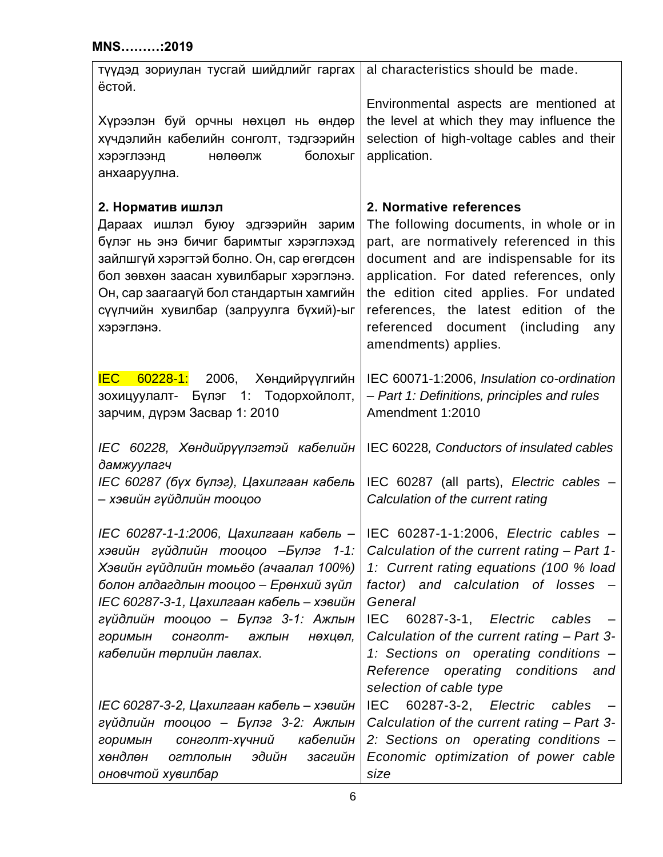| түүдэд зориулан тусгай шийдлийг гаргах<br>ёстой.                                                                                                                                                                                                                                                                                                              | al characteristics should be made.                                                                                                                                                                                                                                                                                                                             |
|---------------------------------------------------------------------------------------------------------------------------------------------------------------------------------------------------------------------------------------------------------------------------------------------------------------------------------------------------------------|----------------------------------------------------------------------------------------------------------------------------------------------------------------------------------------------------------------------------------------------------------------------------------------------------------------------------------------------------------------|
| Хүрээлэн буй орчны нөхцөл нь өндөр<br>хүчдэлийн кабелийн сонголт, тэдгээрийн<br>болохыг<br>хэрэглээнд<br>нөлөөлж<br>анхааруулна.                                                                                                                                                                                                                              | Environmental aspects are mentioned at<br>the level at which they may influence the<br>selection of high-voltage cables and their<br>application.                                                                                                                                                                                                              |
| 2. Норматив ишлэл<br>Дараах ишлэл буюу эдгээрийн зарим<br>бүлэг нь энэ бичиг баримтыг хэрэглэхэд<br>зайлшгүй хэрэгтэй болно. Он, сар өгөгдсөн<br>бол зөвхөн заасан хувилбарыг хэрэглэнэ.<br>Он, сар заагаагүй бол стандартын хамгийн<br>сүүлчийн хувилбар (залруулга бүхий)-ыг<br>хэрэглэнэ.                                                                  | 2. Normative references<br>The following documents, in whole or in<br>part, are normatively referenced in this<br>document and are indispensable for its<br>application. For dated references, only<br>the edition cited applies. For undated<br>references, the latest edition of the<br>referenced<br>document<br>(including)<br>any<br>amendments) applies. |
| <b>IEC</b><br>60228-1: 2006,<br>Хөндийрүүлгийн<br>зохицуулалт- Бүлэг 1: Тодорхойлолт,<br>зарчим, дүрэм Засвар 1: 2010                                                                                                                                                                                                                                         | IEC 60071-1:2006, Insulation co-ordination<br>- Part 1: Definitions, principles and rules<br>Amendment 1:2010                                                                                                                                                                                                                                                  |
| IEC 60228, Хөндийрүүлэгтэй кабелийн<br>дамжуулагч<br>IEC 60287 (бүх бүлэг), Цахилгаан кабель<br>– хэвийн гүйдлийн тооцоо                                                                                                                                                                                                                                      | IEC 60228, Conductors of insulated cables<br>IEC 60287 (all parts), Electric cables -<br>Calculation of the current rating                                                                                                                                                                                                                                     |
| IEC 60287-1-1:2006, Цахилгаан кабель - IEC 60287-1-1:2006, Electric cables -<br>хэвийн гүйдлийн тооцоо -Бүлэг 1-1:<br>Хэвийн гүйдлийн томьёо (ачаалал 100%)<br>болон алдагдлын тооцоо - Ерөнхий зүйл<br>IEC 60287-3-1, Цахилгаан кабель – хэвийн<br>гүйдлийн тооцоо – Бүлэг 3-1: Ажлын<br>горимын<br>сонголт-<br>ажлын<br>нөхцөл,<br>кабелийн төрлийн лавлах. | Calculation of the current rating - Part 1-<br>1: Current rating equations (100 % load<br>factor) and calculation of losses<br>General<br>IEC.<br>$60287 - 3 - 1$ ,<br>Electric<br>cables<br>Calculation of the current rating - Part 3-<br>1: Sections on operating conditions -<br>Reference operating conditions<br>and<br>selection of cable type          |
| IEC 60287-3-2, Цахилгаан кабель – хэвийн<br>гүйдлийн тооцоо – Бүлэг 3-2: Ажлын<br>кабелийн<br>сонголт-хүчний<br>горимын<br>хөндлөн<br>эдийн<br>засгийн<br>огтлолын<br>оновчтой хувилбар                                                                                                                                                                       | 60287-3-2, Electric<br><b>IEC</b><br>cables<br>Calculation of the current rating - Part 3-<br>2: Sections on operating conditions -<br>Economic optimization of power cable<br>size                                                                                                                                                                            |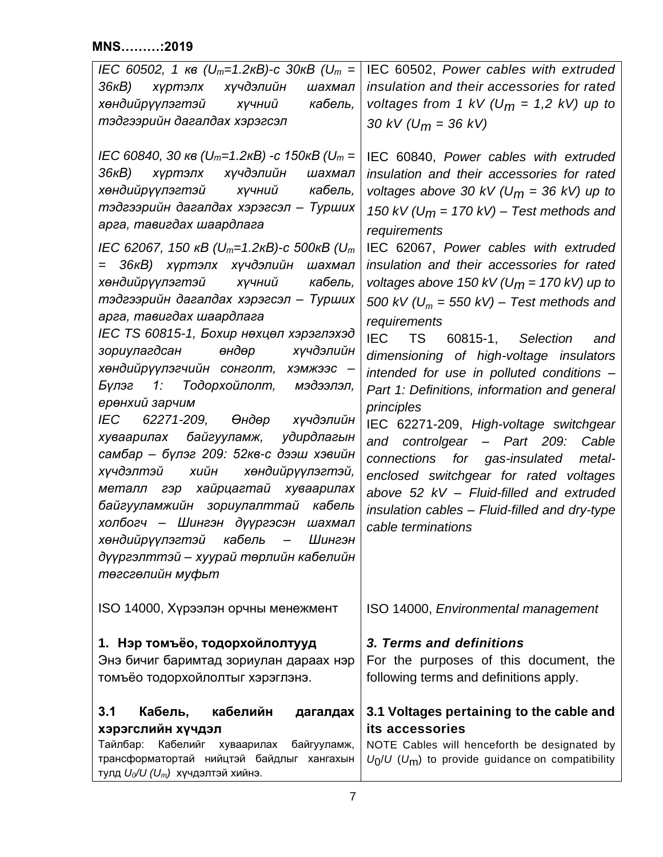<span id="page-6-3"></span><span id="page-6-2"></span><span id="page-6-1"></span><span id="page-6-0"></span>

| IEC 60502, 1 $\kappa$ в (U <sub>m</sub> =1.2 $\kappa$ B)-с 30 $\kappa$ B (U <sub>m</sub> =  <br>36кВ) хүртэлх хүчдэлийн<br>шахмал<br>хөндийрүүлэгтэй хүчний кабель,<br>тэдгээрийн дагалдах хэрэгсэл                                                                                                                                                                                                                                                                                                                                                                                                                                                                                                                                                                                                                                                                                                                                                                                                                           | IEC 60502, Power cables with extruded<br>insulation and their accessories for rated<br>voltages from 1 kV ( $U_m = 1.2$ kV) up to<br>30 kV ( $U_m$ = 36 kV)                                                                                                                                                                                                                                                                                                                                                                                                                                                                                                                                                                                                                                                                                                                           |
|-------------------------------------------------------------------------------------------------------------------------------------------------------------------------------------------------------------------------------------------------------------------------------------------------------------------------------------------------------------------------------------------------------------------------------------------------------------------------------------------------------------------------------------------------------------------------------------------------------------------------------------------------------------------------------------------------------------------------------------------------------------------------------------------------------------------------------------------------------------------------------------------------------------------------------------------------------------------------------------------------------------------------------|---------------------------------------------------------------------------------------------------------------------------------------------------------------------------------------------------------------------------------------------------------------------------------------------------------------------------------------------------------------------------------------------------------------------------------------------------------------------------------------------------------------------------------------------------------------------------------------------------------------------------------------------------------------------------------------------------------------------------------------------------------------------------------------------------------------------------------------------------------------------------------------|
| IEC 60840, 30 $\kappa$ в (U <sub>m</sub> =1.2 $\kappa$ B) -с 150 $\kappa$ B (U <sub>m</sub> =<br>36кВ) хүртэлх хүчдэлийн<br>шахмал<br>хөндийрүүлэгтэй хүчний кабель,<br>тэдгээрийн дагалдах хэрэгсэл - Турших<br>арга, тавигдах шаардлага<br>IEC 62067, 150 $\kappa$ B (U <sub>m</sub> =1.2 $\kappa$ B)-c 500 $\kappa$ B (U <sub>m</sub><br>= 36кВ) хүртэлх хүчдэлийн шахмал<br>хөндийрүүлэгтэй хүчний кабель,<br>тэдгээрийн дагалдах хэрэгсэл - Турших<br>арга, тавигдах шаардлага<br>IEC TS 60815-1, Бохир нөхцөл хэрэглэхэд<br>зориулагдсан өндөр хүчдэлийн<br>хөндийрүүлэгчийн сонголт, хэмжээс -<br>Бүлэг 1: Тодорхойлолт, мэдээлэл,<br>ерөнхий зарчим<br>IEC 62271-209, Өндөр хүчдэлийн<br>хуваарилах байгууламж, удирдлагын<br>самбар - бүлэг 209: 52кв-с дээш хэвийн<br>хүчдэлтэй хийн хөндийрүүлэгтэй,<br>металл гэр хайрцагтай хуваарилах<br>байгууламжийн зориулалттай кабель<br>холбогч – Шингэн дүүргэсэн шахмал<br>хөндийрүүлэгтэй кабель – Шингэн<br>дүүргэлттэй - хуурай төрлийн кабелийн<br>төгсгөлийн муфьт | IEC 60840, Power cables with extruded<br>insulation and their accessories for rated<br>voltages above 30 kV ( $U_m$ = 36 kV) up to<br>150 kV ( $U_m$ = 170 kV) – Test methods and<br>requirements<br>IEC 62067, Power cables with extruded<br>insulation and their accessories for rated<br>voltages above 150 kV ( $U_m$ = 170 kV) up to<br>500 kV ( $U_m$ = 550 kV) – Test methods and<br>requirements<br>IEC TS 60815-1, Selection<br>and<br>dimensioning of high-voltage insulators<br>intended for use in polluted conditions -<br>Part 1: Definitions, information and general<br>principles<br>IEC 62271-209, High-voltage switchgear<br>and controlgear - Part 209: Cable<br>connections for gas-insulated metal-<br>enclosed switchgear for rated voltages<br>above 52 kV - Fluid-filled and extruded<br>insulation cables - Fluid-filled and dry-type<br>cable terminations |
| ISO 14000, Хүрээлэн орчны менежмент                                                                                                                                                                                                                                                                                                                                                                                                                                                                                                                                                                                                                                                                                                                                                                                                                                                                                                                                                                                           | ISO 14000, Environmental management                                                                                                                                                                                                                                                                                                                                                                                                                                                                                                                                                                                                                                                                                                                                                                                                                                                   |
| 1. Нэр томъёо, тодорхойлолтууд<br>Энэ бичиг баримтад зориулан дараах нэр<br>томъёо тодорхойлолтыг хэрэглэнэ.                                                                                                                                                                                                                                                                                                                                                                                                                                                                                                                                                                                                                                                                                                                                                                                                                                                                                                                  | 3. Terms and definitions<br>For the purposes of this document, the<br>following terms and definitions apply.                                                                                                                                                                                                                                                                                                                                                                                                                                                                                                                                                                                                                                                                                                                                                                          |
| кабелийн<br>3.1<br>Кабель,<br>дагалдах<br>хэрэгслийн хүчдэл<br>Тайлбар:<br>Кабелийг<br>хуваарилах<br>байгууламж,<br>трансформатортай нийцтэй байдлыг хангахын<br>тулд $U_0/U$ ( $U_m$ ) хүчдэлтэй хийнэ.                                                                                                                                                                                                                                                                                                                                                                                                                                                                                                                                                                                                                                                                                                                                                                                                                      | 3.1 Voltages pertaining to the cable and<br>its accessories<br>NOTE Cables will henceforth be designated by<br>$U_0/U$ ( $U_m$ ) to provide guidance on compatibility                                                                                                                                                                                                                                                                                                                                                                                                                                                                                                                                                                                                                                                                                                                 |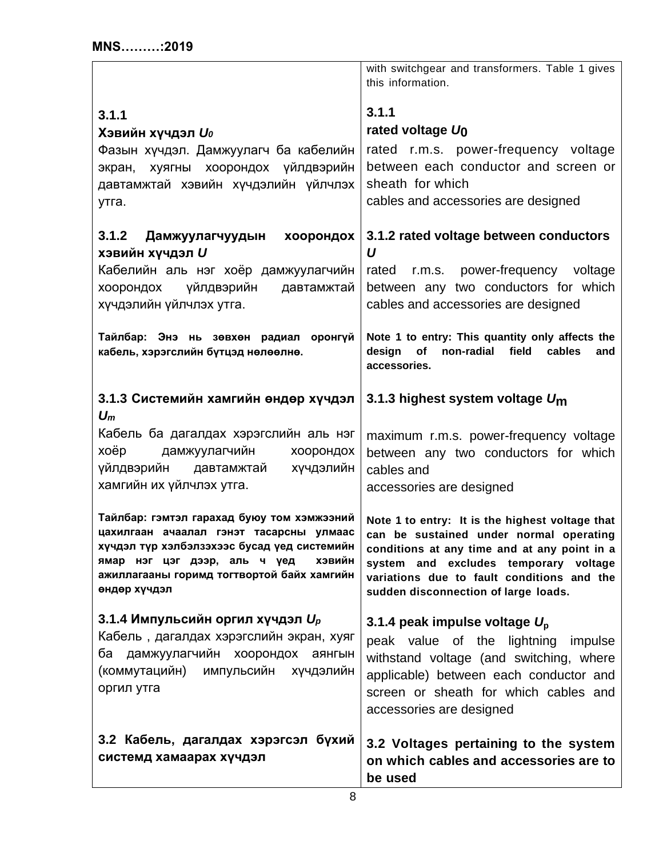<span id="page-7-6"></span><span id="page-7-5"></span><span id="page-7-4"></span><span id="page-7-3"></span><span id="page-7-2"></span><span id="page-7-1"></span><span id="page-7-0"></span>

|                                                                                                                                                                                                                                                     | with switchgear and transformers. Table 1 gives<br>this information.                                                                                                                                                                                                      |
|-----------------------------------------------------------------------------------------------------------------------------------------------------------------------------------------------------------------------------------------------------|---------------------------------------------------------------------------------------------------------------------------------------------------------------------------------------------------------------------------------------------------------------------------|
| 3.1.1<br>Хэвийн хүчдэл $\boldsymbol{U_0}$<br>Фазын хүчдэл. Дамжуулагч ба кабелийн<br>экран, хуягны хоорондох үйлдвэрийн<br>давтамжтай хэвийн хүчдэлийн үйлчлэх<br>утга.                                                                             | 3.1.1<br>rated voltage $U_0$<br>rated r.m.s. power-frequency voltage<br>between each conductor and screen or<br>sheath for which<br>cables and accessories are designed                                                                                                   |
| 3.1.2 Дамжуулагчуудын<br>хоорондох<br>хэвийн хүчдэл U<br>Кабелийн аль нэг хоёр дамжуулагчийн<br>үйлдвэрийн давтамжтай<br>хоорондох<br>хүчдэлийн үйлчлэх утга.                                                                                       | 3.1.2 rated voltage between conductors<br>U<br>rated r.m.s. power-frequency voltage<br>between any two conductors for which<br>cables and accessories are designed                                                                                                        |
| Тайлбар: Энэ нь зөвхөн радиал оронгүй<br>кабель, хэрэгслийн бүтцэд нөлөөлнө.                                                                                                                                                                        | Note 1 to entry: This quantity only affects the<br>of<br>non-radial<br>design<br>field<br>cables<br>and<br>accessories.                                                                                                                                                   |
| 3.1.3 Системийн хамгийн өндөр хүчдэл<br>$U_m$<br>Кабель ба дагалдах хэрэгслийн аль нэг<br>xoëp<br>дамжуулагчийн<br>хоорондох<br>Хүчдэлийн<br>үйлдвэрийн<br>давтамжтай<br>хамгийн их үйлчлэх утга.                                                   | 3.1.3 highest system voltage $U_{\text{m}}$<br>maximum r.m.s. power-frequency voltage<br>between any two conductors for which<br>cables and<br>accessories are designed                                                                                                   |
| Тайлбар: гэмтэл гарахад буюу том хэмжээний<br>цахилгаан ачаалал гэнэт тасарсны улмаас<br>хүчдэл түр хэлбэлзэхээс бусад үед системийн<br><b>ХЭВИЙН</b><br>ямар нэг цэг дээр, аль ч үед<br>ажиллагааны горимд тогтвортой байх хамгийн<br>өндөр хүчдэл | Note 1 to entry: It is the highest voltage that<br>can be sustained under normal operating<br>conditions at any time and at any point in a<br>system and excludes temporary voltage<br>variations due to fault conditions and the<br>sudden disconnection of large loads. |
| 3.1.4 Импульсийн оргил хүчдэл $U_p$<br>Кабель, дагалдах хэрэгслийн экран, хуяг<br>дамжуулагчийн хоорондох<br>ба<br>аянгын<br>(коммутацийн) импульсийн хүчдэлийн<br>оргил утга                                                                       | 3.1.4 peak impulse voltage $U_p$<br>peak value of the lightning<br>impulse<br>withstand voltage (and switching, where<br>applicable) between each conductor and<br>screen or sheath for which cables and<br>accessories are designed                                      |
| 3.2 Кабель, дагалдах хэрэгсэл бүхий<br>системд хамаарах хүчдэл                                                                                                                                                                                      | 3.2 Voltages pertaining to the system<br>on which cables and accessories are to<br>be used                                                                                                                                                                                |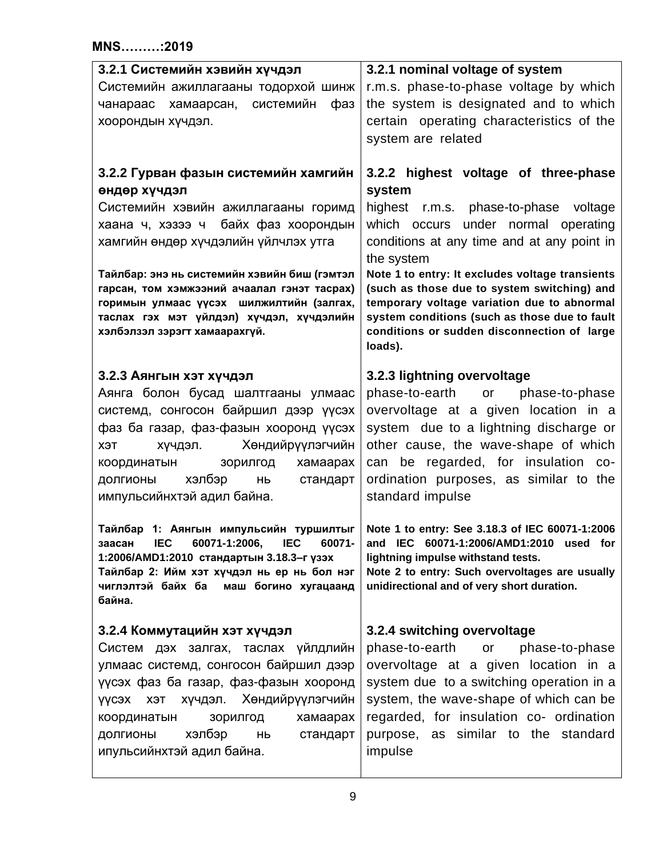<span id="page-8-2"></span><span id="page-8-1"></span><span id="page-8-0"></span>

| 3.2.1 Системийн хэвийн хүчдэл<br>Системийн ажиллагааны тодорхой шинж<br>чанараас хамаарсан, системийн<br>фаз<br>хоорондын хүчдэл.                                                                                                                                                                                                                                                                  | 3.2.1 nominal voltage of system<br>r.m.s. phase-to-phase voltage by which<br>the system is designated and to which<br>certain operating characteristics of the<br>system are related                                                                                                                                                                                                                                                                   |
|----------------------------------------------------------------------------------------------------------------------------------------------------------------------------------------------------------------------------------------------------------------------------------------------------------------------------------------------------------------------------------------------------|--------------------------------------------------------------------------------------------------------------------------------------------------------------------------------------------------------------------------------------------------------------------------------------------------------------------------------------------------------------------------------------------------------------------------------------------------------|
| 3.2.2 Гурван фазын системийн хамгийн<br>өндөр хүчдэл<br>Системийн хэвийн ажиллагааны горимд<br>хаана ч, хэзээ ч байх фаз хоорондын<br>хамгийн өндөр хүчдэлийн үйлчлэх утга<br>Тайлбар: энэ нь системийн хэвийн биш (гэмтэл<br>гарсан, том хэмжээний ачаалал гэнэт тасрах)<br>горимын улмаас үүсэх шилжилтийн (залгах,<br>таслах гэх мэт үйлдэл) хүчдэл, хүчдэлийн<br>хэлбэлзэл зэрэгт хамаарахгүй. | 3.2.2 highest voltage of three-phase<br>system<br>highest r.m.s. phase-to-phase voltage<br>which occurs under normal operating<br>conditions at any time and at any point in<br>the system<br>Note 1 to entry: It excludes voltage transients<br>(such as those due to system switching) and<br>temporary voltage variation due to abnormal<br>system conditions (such as those due to fault<br>conditions or sudden disconnection of large<br>loads). |
| 3.2.3 Аянгын хэт хүчдэл<br>Аянга болон бусад шалтгааны улмаас<br>системд, сонгосон байршил дээр үүсэх<br>фаз ба газар, фаз-фазын хооронд үүсэх<br>хүчдэл. Хөндийрүүлэгчийн<br>ХЭТ<br>координатын<br>зорилгод<br>хамаарах<br>хэлбэр<br>стандарт<br>ДОЛГИОНЫ<br><b>HP</b><br>импульсийнхтэй адил байна.                                                                                              | 3.2.3 lightning overvoltage<br>phase-to-earth<br>phase-to-phase<br>or<br>overvoltage at a given location in a<br>system due to a lightning discharge or<br>other cause, the wave-shape of which<br>can be regarded, for insulation co-<br>ordination purposes, as similar to the<br>standard impulse                                                                                                                                                   |
| Тайлбар 1: Аянгын импульсийн туршилтыг<br>заасан<br><b>IEC</b><br>60071-1:2006,<br><b>IEC</b><br>60071-<br>1:2006/AMD1:2010 стандартын 3.18.3-г үзэх<br>Тайлбар 2: Ийм хэт хүчдэл нь ер нь бол нэг<br>чиглэлтэй байх ба<br>маш богино хугацаанд<br>байна.                                                                                                                                          | Note 1 to entry: See 3.18.3 of IEC 60071-1:2006<br>and IEC 60071-1:2006/AMD1:2010 used for<br>lightning impulse withstand tests.<br>Note 2 to entry: Such overvoltages are usually<br>unidirectional and of very short duration.                                                                                                                                                                                                                       |
| 3.2.4 Коммутацийн хэт хүчдэл<br>Систем дэх залгах, таслах үйлдлийн<br>улмаас системд, сонгосон байршил дээр<br>үүсэх фаз ба газар, фаз-фазын хооронд<br>хүчдэл. Хөндийрүүлэгчийн<br>үүсэх хэт<br>зорилгод<br>хамаарах<br>координатын<br>хэлбэр<br>долгионы<br>HЬ<br>стандарт<br>ипульсийнхтэй адил байна.                                                                                          | 3.2.4 switching overvoltage<br>phase-to-earth<br>or<br>phase-to-phase<br>overvoltage at a given location in a<br>system due to a switching operation in a<br>system, the wave-shape of which can be<br>regarded, for insulation co- ordination<br>purpose, as similar to the standard<br>impulse                                                                                                                                                       |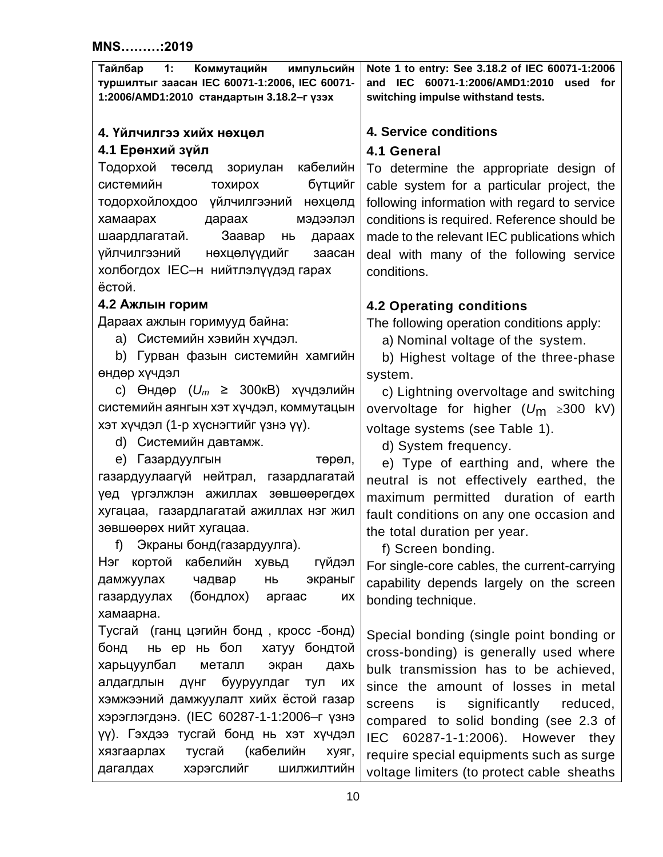<span id="page-9-5"></span><span id="page-9-4"></span><span id="page-9-3"></span><span id="page-9-2"></span><span id="page-9-1"></span><span id="page-9-0"></span>

| Note 1 to entry: See 3.18.2 of IEC 60071-1:2006<br>Тайлбар<br>1:<br>Коммутацийн<br>импульсийн<br>туршилтыг заасан IEC 60071-1:2006, IEC 60071-<br>IEC 60071-1:2006/AMD1:2010<br>and<br>used<br>for<br>1:2006/AMD1:2010 стандартын 3.18.2-г үзэх<br>switching impulse withstand tests.<br><b>4. Service conditions</b><br>4. Үйлчилгээ хийх нөхцөл<br>4.1 Ерөнхий зүйл<br>4.1 General<br>Тодорхой төсөлд зориулан<br>кабелийн<br>To determine the appropriate design of<br>бүтцийг<br>системийн<br>тохирох<br>cable system for a particular project, the<br>тодорхойлохдоо үйлчилгээний нөхцөлд<br>following information with regard to service<br>хамаарах<br>дараах<br>мэдээлэл<br>conditions is required. Reference should be<br>Заавар<br>шаардлагатай.<br>made to the relevant IEC publications which<br>дараах<br>НЬ |
|---------------------------------------------------------------------------------------------------------------------------------------------------------------------------------------------------------------------------------------------------------------------------------------------------------------------------------------------------------------------------------------------------------------------------------------------------------------------------------------------------------------------------------------------------------------------------------------------------------------------------------------------------------------------------------------------------------------------------------------------------------------------------------------------------------------------------|
|                                                                                                                                                                                                                                                                                                                                                                                                                                                                                                                                                                                                                                                                                                                                                                                                                           |
|                                                                                                                                                                                                                                                                                                                                                                                                                                                                                                                                                                                                                                                                                                                                                                                                                           |
|                                                                                                                                                                                                                                                                                                                                                                                                                                                                                                                                                                                                                                                                                                                                                                                                                           |
|                                                                                                                                                                                                                                                                                                                                                                                                                                                                                                                                                                                                                                                                                                                                                                                                                           |
|                                                                                                                                                                                                                                                                                                                                                                                                                                                                                                                                                                                                                                                                                                                                                                                                                           |
|                                                                                                                                                                                                                                                                                                                                                                                                                                                                                                                                                                                                                                                                                                                                                                                                                           |
|                                                                                                                                                                                                                                                                                                                                                                                                                                                                                                                                                                                                                                                                                                                                                                                                                           |
|                                                                                                                                                                                                                                                                                                                                                                                                                                                                                                                                                                                                                                                                                                                                                                                                                           |
| үйлчилгээний<br>нөхцөлүүдийг<br>заасан<br>deal with many of the following service                                                                                                                                                                                                                                                                                                                                                                                                                                                                                                                                                                                                                                                                                                                                         |
| холбогдох IEC-н нийтлэлүүдэд гарах<br>conditions.                                                                                                                                                                                                                                                                                                                                                                                                                                                                                                                                                                                                                                                                                                                                                                         |
| ёстой.                                                                                                                                                                                                                                                                                                                                                                                                                                                                                                                                                                                                                                                                                                                                                                                                                    |
| 4.2 Ажлын горим<br><b>4.2 Operating conditions</b>                                                                                                                                                                                                                                                                                                                                                                                                                                                                                                                                                                                                                                                                                                                                                                        |
| Дараах ажлын горимууд байна:<br>The following operation conditions apply:                                                                                                                                                                                                                                                                                                                                                                                                                                                                                                                                                                                                                                                                                                                                                 |
| а) Системийн хэвийн хүчдэл.<br>a) Nominal voltage of the system.                                                                                                                                                                                                                                                                                                                                                                                                                                                                                                                                                                                                                                                                                                                                                          |
| b) Гурван фазын системийн хамгийн<br>b) Highest voltage of the three-phase                                                                                                                                                                                                                                                                                                                                                                                                                                                                                                                                                                                                                                                                                                                                                |
| өндөр хүчдэл<br>system.                                                                                                                                                                                                                                                                                                                                                                                                                                                                                                                                                                                                                                                                                                                                                                                                   |
| с) Өндөр ( $U_m$ ≥ 300кВ) хүчдэлийн<br>c) Lightning overvoltage and switching                                                                                                                                                                                                                                                                                                                                                                                                                                                                                                                                                                                                                                                                                                                                             |
| системийн аянгын хэт хүчдэл, коммутацын<br>overvoltage for higher $(U_m \geq 300 \text{ kV})$                                                                                                                                                                                                                                                                                                                                                                                                                                                                                                                                                                                                                                                                                                                             |
| хэт хүчдэл (1-р хүснэгтийг үзнэ үү).<br>voltage systems (see Table 1).                                                                                                                                                                                                                                                                                                                                                                                                                                                                                                                                                                                                                                                                                                                                                    |
| d) Системийн давтамж.<br>d) System frequency.                                                                                                                                                                                                                                                                                                                                                                                                                                                                                                                                                                                                                                                                                                                                                                             |
| е) Газардуулгын<br>төрөл,<br>e) Type of earthing and, where the                                                                                                                                                                                                                                                                                                                                                                                                                                                                                                                                                                                                                                                                                                                                                           |
| газардуулаагүй нейтрал, газардлагатай<br>neutral is not effectively earthed, the                                                                                                                                                                                                                                                                                                                                                                                                                                                                                                                                                                                                                                                                                                                                          |
| үед үргэлжлэн ажиллах зөвшөөрөгдөх<br>maximum permitted duration of earth                                                                                                                                                                                                                                                                                                                                                                                                                                                                                                                                                                                                                                                                                                                                                 |
| хугацаа, газардлагатай ажиллах нэг жил<br>fault conditions on any one occasion and                                                                                                                                                                                                                                                                                                                                                                                                                                                                                                                                                                                                                                                                                                                                        |
| зөвшөөрөх нийт хугацаа.<br>the total duration per year.                                                                                                                                                                                                                                                                                                                                                                                                                                                                                                                                                                                                                                                                                                                                                                   |
| Экраны бонд (газардуулга).<br>f)<br>f) Screen bonding.                                                                                                                                                                                                                                                                                                                                                                                                                                                                                                                                                                                                                                                                                                                                                                    |
| кортой<br>кабелийн хувьд<br>Нэг<br>гүйдэл<br>For single-core cables, the current-carrying                                                                                                                                                                                                                                                                                                                                                                                                                                                                                                                                                                                                                                                                                                                                 |
| дамжуулах<br>чадвар<br>экраныг<br>HЬ<br>capability depends largely on the screen                                                                                                                                                                                                                                                                                                                                                                                                                                                                                                                                                                                                                                                                                                                                          |
| (бондлох)<br>газардуулах<br>аргаас<br>их<br>bonding technique.                                                                                                                                                                                                                                                                                                                                                                                                                                                                                                                                                                                                                                                                                                                                                            |
| хамаарна.                                                                                                                                                                                                                                                                                                                                                                                                                                                                                                                                                                                                                                                                                                                                                                                                                 |
| Тусгай (ганц цэгийн бонд, кросс -бонд)<br>Special bonding (single point bonding or                                                                                                                                                                                                                                                                                                                                                                                                                                                                                                                                                                                                                                                                                                                                        |
| бонд<br>нь ер нь бол<br>хатуу бондтой<br>cross-bonding) is generally used where                                                                                                                                                                                                                                                                                                                                                                                                                                                                                                                                                                                                                                                                                                                                           |
| харьцуулбал<br>металл<br>экран<br>дахь<br>bulk transmission has to be achieved,<br>бууруулдаг<br>алдагдлын<br>Дүнг<br>тул<br>ИX                                                                                                                                                                                                                                                                                                                                                                                                                                                                                                                                                                                                                                                                                           |
| since the amount of losses in metal<br>хэмжээний дамжуулалт хийх ёстой газар                                                                                                                                                                                                                                                                                                                                                                                                                                                                                                                                                                                                                                                                                                                                              |
| significantly<br>screens<br>reduced,<br>is<br>хэрэглэгдэнэ. (IEC 60287-1-1:2006-г үзнэ                                                                                                                                                                                                                                                                                                                                                                                                                                                                                                                                                                                                                                                                                                                                    |
| compared to solid bonding (see 2.3 of<br>үү). Гэхдээ тусгай бонд нь хэт хүчдэл                                                                                                                                                                                                                                                                                                                                                                                                                                                                                                                                                                                                                                                                                                                                            |
| <b>IEC</b><br>60287-1-1:2006). However<br>they<br>(кабелийн<br>тусгай<br>хязгаарлах<br>хуяг,                                                                                                                                                                                                                                                                                                                                                                                                                                                                                                                                                                                                                                                                                                                              |
| require special equipments such as surge<br>хэрэгслийг<br>дагалдах<br>ШИЛЖИЛТИЙН<br>voltage limiters (to protect cable sheaths                                                                                                                                                                                                                                                                                                                                                                                                                                                                                                                                                                                                                                                                                            |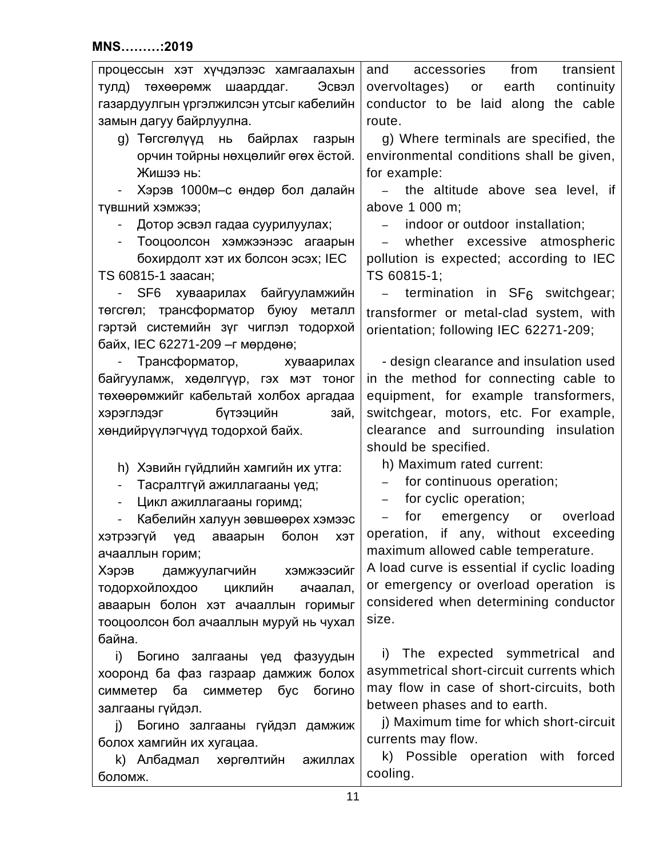| процессын хэт хүчдэлээс хамгаалахын                          | from<br>accessories<br>transient<br>and               |
|--------------------------------------------------------------|-------------------------------------------------------|
| Эсвэл<br>тулд) төхөөрөмж шаарддаг.                           | overvoltages) or<br>earth<br>continuity               |
| газардуулгын үргэлжилсэн утсыг кабелийн                      | conductor to be laid along the cable                  |
| замын дагуу байрлуулна.                                      | route.                                                |
| g) Төгсгөлүүд нь байрлах газрын                              | g) Where terminals are specified, the                 |
| орчин тойрны нөхцөлийг өгөх ёстой.                           | environmental conditions shall be given,              |
| Жишээ нь:                                                    | for example:                                          |
| Хэрэв 1000м-с өндөр бол далайн<br>$\sim$                     | the altitude above sea level, if                      |
| түвшний хэмжээ;                                              | above 1 000 m;                                        |
| Дотор эсвэл гадаа суурилуулах;                               | indoor or outdoor installation;                       |
| Тооцоолсон хэмжээнээс агаарын<br>$\blacksquare$              | whether excessive atmospheric<br>$\equiv$             |
| бохирдолт хэт их болсон эсэх; IEC                            | pollution is expected; according to IEC               |
| TS 60815-1 заасан;                                           | TS 60815-1;                                           |
| хуваарилах байгууламжийн<br>SF <sub>6</sub>                  | termination in $SF6$ switchgear;                      |
| төгсгөл; трансформатор буюу металл                           |                                                       |
| гэртэй системийн зүг чиглэл тодорхой                         | transformer or metal-clad system, with                |
| байх, IEC 62271-209 - г мөрдөнө;                             | orientation; following IEC 62271-209;                 |
| Трансформатор, хуваарилах                                    | - design clearance and insulation used                |
|                                                              |                                                       |
| байгууламж, хөдөлгүүр, гэх мэт тоног                         | in the method for connecting cable to                 |
| төхөөрөмжийг кабельтай холбох аргадаа                        | equipment, for example transformers,                  |
| бүтээцийн<br>хэрэглэдэг<br>зай,                              | switchgear, motors, etc. For example,                 |
| хөндийрүүлэгчүүд тодорхой байх.                              | clearance and surrounding<br>insulation               |
|                                                              | should be specified.                                  |
| h) Хэвийн гүйдлийн хамгийн их утга:                          | h) Maximum rated current:                             |
| Тасралтгүй ажиллагааны үед;<br>$\overline{\phantom{a}}$      | for continuous operation;<br>$\overline{\phantom{0}}$ |
| Цикл ажиллагааны горимд;<br>$\overline{\phantom{a}}$         | for cyclic operation;<br>$\overline{\phantom{0}}$     |
| Кабелийн халуун зөвшөөрөх хэмээс<br>$\overline{\phantom{a}}$ | for<br>emergency or overload                          |
| хэтрээгүй үед<br>болон<br>аваарын<br>ХЭТ                     | operation, if any, without exceeding                  |
| ачааллын горим;                                              | maximum allowed cable temperature.                    |
| дамжуулагчийн<br>Хэрэв<br>хэмжээсийг                         | A load curve is essential if cyclic loading           |
| тодорхойлохдоо<br>ЦИКЛИЙН<br>ачаалал,                        | or emergency or overload operation is                 |
| аваарын болон хэт ачааллын горимыг                           | considered when determining conductor                 |
| тооцоолсон бол ачааллын муруй нь чухал                       | size.                                                 |
| байна.                                                       |                                                       |
| i) Богино залгааны үед фазуудын                              | The expected symmetrical and<br>i)                    |
| хооронд ба фаз газраар дамжиж болох                          | asymmetrical short-circuit currents which             |
| симметер ба симметер бус богино                              | may flow in case of short-circuits, both              |
| залгааны гүйдэл.                                             | between phases and to earth.                          |
| Богино залгааны гүйдэл дамжиж<br>j)                          | j) Maximum time for which short-circuit               |
| болох хамгийн их хугацаа.                                    | currents may flow.                                    |
| k) Албадмал хөргөлтийн<br>ажиллах                            | k) Possible operation with forced                     |
| боломж.                                                      | cooling.                                              |
|                                                              |                                                       |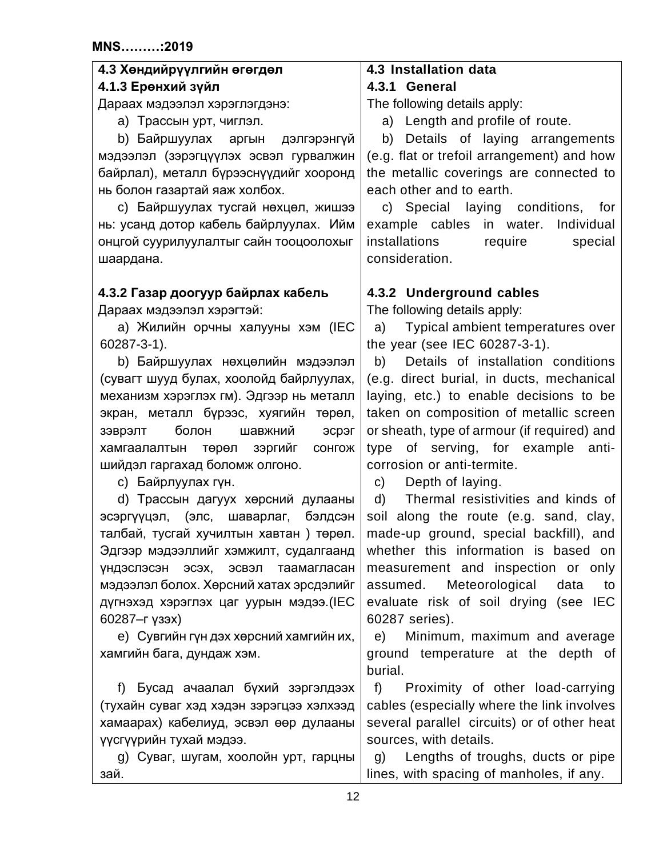<span id="page-11-5"></span><span id="page-11-4"></span><span id="page-11-3"></span><span id="page-11-2"></span><span id="page-11-1"></span><span id="page-11-0"></span>

| 4.3 Хөндийрүүлгийн өгөгдөл                  | 4.3 Installation data                               |
|---------------------------------------------|-----------------------------------------------------|
| 4.1.3 Ерөнхий зүйл                          | 4.3.1 General                                       |
| Дараах мэдээлэл хэрэглэгдэнэ:               | The following details apply:                        |
| а) Трассын урт, чиглэл.                     | a) Length and profile of route.                     |
| b) Байршуулах аргын<br>дэлгэрэнгүй          | Details of laying arrangements<br>b)                |
| мэдээлэл (зэрэгцүүлэх эсвэл гурвалжин       | (e.g. flat or trefoil arrangement) and how          |
| байрлал), металл бүрээснүүдийг хооронд      | the metallic coverings are connected to             |
| нь болон газартай яаж холбох.               | each other and to earth.                            |
| с) Байршуулах тусгай нөхцөл, жишээ          | c) Special laying conditions, for                   |
| нь: усанд дотор кабель байрлуулах. Ийм      | example cables in water.<br>Individual              |
| онцгой суурилуулалтыг сайн тооцоолохыг      | installations<br>require<br>special                 |
| шаардана.                                   | consideration.                                      |
|                                             |                                                     |
| 4.3.2 Газар доогуур байрлах кабель          | 4.3.2 Underground cables                            |
| Дараах мэдээлэл хэрэгтэй:                   | The following details apply:                        |
| а) Жилийн орчны халууны хэм (IEC            | Typical ambient temperatures over<br>a)             |
| 60287-3-1).                                 | the year (see IEC 60287-3-1).                       |
| b) Байршуулах нөхцөлийн мэдээлэл            | Details of installation conditions<br>b)            |
| (сувагт шууд булах, хоолойд байрлуулах,     | (e.g. direct burial, in ducts, mechanical           |
| механизм хэрэглэх гм). Эдгээр нь металл     | laying, etc.) to enable decisions to be             |
| экран, металл бүрээс, хуягийн төрөл,        | taken on composition of metallic screen             |
| шавжний<br>болон<br>эсрэг                   | or sheath, type of armour (if required) and         |
| зэврэлт                                     | type of serving, for example<br>anti-               |
| хамгаалалтын төрөл зэргийг сонгож           | corrosion or anti-termite.                          |
| шийдэл гаргахад боломж олгоно.              |                                                     |
| с) Байрлуулах гүн.                          | Depth of laying.<br>C)                              |
| d) Трассын дагуух хөрсний дулааны           | Thermal resistivities and kinds of<br>d)            |
| эсэргүүцэл, (элс, шаварлаг, бэлдсэн         | soil along the route (e.g. sand, clay,              |
| талбай, тусгай хучилтын хавтан) төрөл.      | made-up ground, special backfill), and              |
| Эдгээр мэдээллийг хэмжилт, судалгаанд       | whether this information is based on                |
| эсвэл<br>таамагласан<br>үндэслэсэн<br>эсэх, | measurement and inspection or only                  |
| мэдээлэл болох. Хөрсний хатах эрсдэлийг     | assumed. Meteorological<br>data<br>to               |
| дүгнэхэд хэрэглэх цаг уурын мэдээ.(IEC      | evaluate risk of soil drying (see IEC               |
| 60287-г үзэх)                               | 60287 series).                                      |
| е) Сувгийн гүн дэх хөрсний хамгийн их,      | Minimum, maximum and average<br>e)                  |
| хамгийн бага, дундаж хэм.                   | ground temperature at the depth of                  |
|                                             | burial.                                             |
| f) Бусад ачаалал бүхий зэргэлдээх           | f<br>Proximity of other load-carrying               |
| (тухайн суваг хэд хэдэн зэрэгцээ хэлхээд    | cables (especially where the link involves          |
| хамаарах) кабелиуд, эсвэл өөр дулааны       | several parallel circuits) or of other heat         |
| үүсгүүрийн тухай мэдээ.                     | sources, with details.                              |
| g) Суваг, шугам, хоолойн урт, гарцны        | Lengths of troughs, ducts or pipe<br>$\mathsf{q}$ ) |
| зай.                                        | lines, with spacing of manholes, if any.            |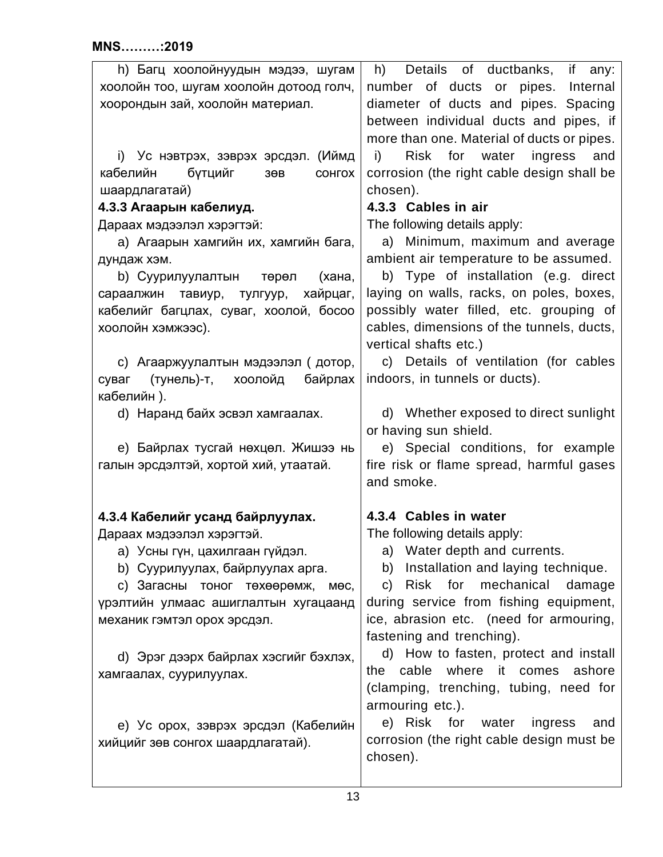<span id="page-12-2"></span><span id="page-12-1"></span><span id="page-12-0"></span>

| h) Багц хоолойнуудын мэдээ, шугам                        | Details of ductbanks, if any:<br>h)        |
|----------------------------------------------------------|--------------------------------------------|
| хоолойн тоо, шугам хоолойн дотоод голч,                  | number of ducts or pipes. Internal         |
| хоорондын зай, хоолойн материал.                         | diameter of ducts and pipes. Spacing       |
|                                                          | between individual ducts and pipes, if     |
|                                                          | more than one. Material of ducts or pipes. |
| і) Ус нэвтрэх, зэврэх эрсдэл. (Иймд                      | Risk for water<br>ingress and<br>i)        |
| кабелийн<br>бүтцийг<br>3 <sub>0</sub> B<br><b>COHFOX</b> | corrosion (the right cable design shall be |
| шаардлагатай)                                            | chosen).                                   |
| 4.3.3 Агаарын кабелиуд.                                  | 4.3.3 Cables in air                        |
| Дараах мэдээлэл хэрэгтэй:                                | The following details apply:               |
| а) Агаарын хамгийн их, хамгийн бага,                     | a) Minimum, maximum and average            |
| дундаж хэм.                                              | ambient air temperature to be assumed.     |
| b) Суурилуулалтын төрөл<br>(хана,                        | b) Type of installation (e.g. direct       |
| хайрцаг,<br>сараалжин тавиур, тулгуур,                   | laying on walls, racks, on poles, boxes,   |
| кабелийг багцлах, суваг, хоолой, босоо                   | possibly water filled, etc. grouping of    |
| хоолойн хэмжээс).                                        | cables, dimensions of the tunnels, ducts,  |
|                                                          | vertical shafts etc.)                      |
| с) Агааржуулалтын мэдээлэл (дотор,                       | c) Details of ventilation (for cables      |
| (тунель)-т, хоолойд<br>байрлах<br>суваг                  | indoors, in tunnels or ducts).             |
| кабелийн).                                               |                                            |
| d) Наранд байх эсвэл хамгаалах.                          | d) Whether exposed to direct sunlight      |
|                                                          | or having sun shield.                      |
| е) Байрлах тусгай нөхцөл. Жишээ нь                       | e) Special conditions, for example         |
| галын эрсдэлтэй, хортой хий, утаатай.                    | fire risk or flame spread, harmful gases   |
|                                                          | and smoke.                                 |
|                                                          |                                            |
| 4.3.4 Кабелийг усанд байрлуулах.                         | 4.3.4 Cables in water                      |
| Дараах мэдээлэл хэрэгтэй.                                | The following details apply:               |
| а) Усны гүн, цахилгаан гүйдэл.                           | a) Water depth and currents.               |
| b) Суурилуулах, байрлуулах арга.                         | Installation and laying technique.<br>b)   |
| с) Загасны тоног төхөөрөмж,<br>мөс,                      | mechanical<br>Risk for<br>damage<br>C)     |
| үрэлтийн улмаас ашиглалтын хугацаанд                     | during service from fishing equipment,     |
| механик гэмтэл орох эрсдэл.                              | ice, abrasion etc. (need for armouring,    |
|                                                          | fastening and trenching).                  |
| d) Эрэг дээрх байрлах хэсгийг бэхлэх,                    | d) How to fasten, protect and install      |
| хамгаалах, суурилуулах.                                  | where it comes<br>cable<br>ashore<br>the   |
|                                                          | (clamping, trenching, tubing, need for     |
|                                                          | armouring etc.).                           |
| е) Ус орох, зэврэх эрсдэл (Кабелийн                      | e) Risk for<br>water<br>ingress<br>and     |
| хийцийг зөв сонгох шаардлагатай).                        | corrosion (the right cable design must be  |
|                                                          | chosen).                                   |
|                                                          |                                            |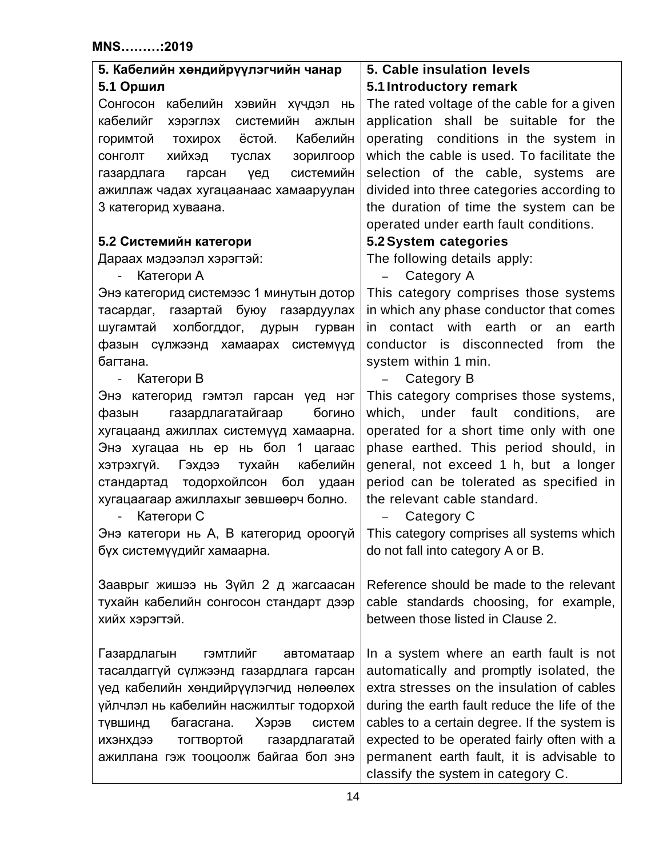<span id="page-13-5"></span><span id="page-13-4"></span><span id="page-13-3"></span><span id="page-13-2"></span><span id="page-13-1"></span><span id="page-13-0"></span>

| 5. Кабелийн хөндийрүүлэгчийн чанар           | 5. Cable insulation levels                    |  |  |  |
|----------------------------------------------|-----------------------------------------------|--|--|--|
| 5.1 Оршил                                    | 5.1 Introductory remark                       |  |  |  |
| Сонгосон<br>кабелийн хэвийн хүчдэл нь        | The rated voltage of the cable for a given    |  |  |  |
| кабелийг<br>системийн<br>хэрэглэх<br>ажлын   | application shall be suitable for the         |  |  |  |
| Кабелийн<br>тохирох ёстой.<br>горимтой       | operating conditions in the system in         |  |  |  |
| хийхэд<br>СОНГОЛТ<br>туслах<br>зорилгоор     | which the cable is used. To facilitate the    |  |  |  |
| системийн<br>газардлага гарсан<br>үед        | selection of the cable, systems are           |  |  |  |
| ажиллаж чадах хугацаанаас хамааруулан        | divided into three categories according to    |  |  |  |
| 3 категорид хуваана.                         | the duration of time the system can be        |  |  |  |
|                                              | operated under earth fault conditions.        |  |  |  |
| 5.2 Системийн категори                       | 5.2 System categories                         |  |  |  |
| Дараах мэдээлэл хэрэгтэй:                    | The following details apply:                  |  |  |  |
| Категори А<br>$\overline{\phantom{a}}$       | Category A                                    |  |  |  |
| Энэ категорид системээс 1 минутын дотор      | This category comprises those systems         |  |  |  |
| газартай буюу газардуулах<br>тасардаг,       | in which any phase conductor that comes       |  |  |  |
| холбогддог, дурын<br>шугамтай<br>гурван      | in contact with earth or<br>an<br>earth       |  |  |  |
| фазын сүлжээнд хамаарах системүүд            | conductor is disconnected<br>from<br>the      |  |  |  |
| багтана.                                     | system within 1 min.                          |  |  |  |
| Категори В<br>$\sim 10^{-1}$                 | Category B<br>$\overline{\phantom{0}}$        |  |  |  |
| Энэ категорид гэмтэл гарсан үед нэг          | This category comprises those systems,        |  |  |  |
| газардлагатайгаар<br>богино<br>фазын         | which, under fault conditions,<br>are         |  |  |  |
| хугацаанд ажиллах системүүд хамаарна.        | operated for a short time only with one       |  |  |  |
| Энэ хугацаа нь ер нь бол 1 цагаас            | phase earthed. This period should, in         |  |  |  |
| тухайн<br>кабелийн<br>хэтрэхгүй.<br>Гэхдээ   | general, not exceed 1 h, but a longer         |  |  |  |
| стандартад тодорхойлсон бол<br>удаан         | period can be tolerated as specified in       |  |  |  |
| хугацаагаар ажиллахыг зөвшөөрч болно.        | the relevant cable standard.                  |  |  |  |
| Категори С                                   | Category C                                    |  |  |  |
| Энэ категори нь А, В категорид ороогүй       | This category comprises all systems which     |  |  |  |
| бүх системүүдийг хамаарна.                   | do not fall into category A or B.             |  |  |  |
|                                              |                                               |  |  |  |
| Зааврыг жишээ нь Зүйл 2 д жагсаасан          | Reference should be made to the relevant      |  |  |  |
| тухайн кабелийн сонгосон стандарт дээр       | cable standards choosing, for example,        |  |  |  |
| хийх хэрэгтэй.                               | between those listed in Clause 2.             |  |  |  |
|                                              |                                               |  |  |  |
| <b>ГЭМТЛИЙГ</b><br>Газардлагын<br>автоматаар | In a system where an earth fault is not       |  |  |  |
| тасалдаггүй сүлжээнд газардлага гарсан       | automatically and promptly isolated, the      |  |  |  |
| үед кабелийн хөндийрүүлэгчид нөлөөлөх        | extra stresses on the insulation of cables    |  |  |  |
| үйлчлэл нь кабелийн насжилтыг тодорхой       | during the earth fault reduce the life of the |  |  |  |
| багасгана.<br>Хэрэв<br>систем<br>ТУВШИНД     | cables to a certain degree. If the system is  |  |  |  |
| ихэнхдээ<br>тогтвортой<br>газардлагатай      | expected to be operated fairly often with a   |  |  |  |
| ажиллана гэж тооцоолж байгаа бол энэ         | permanent earth fault, it is advisable to     |  |  |  |
|                                              | classify the system in category C.            |  |  |  |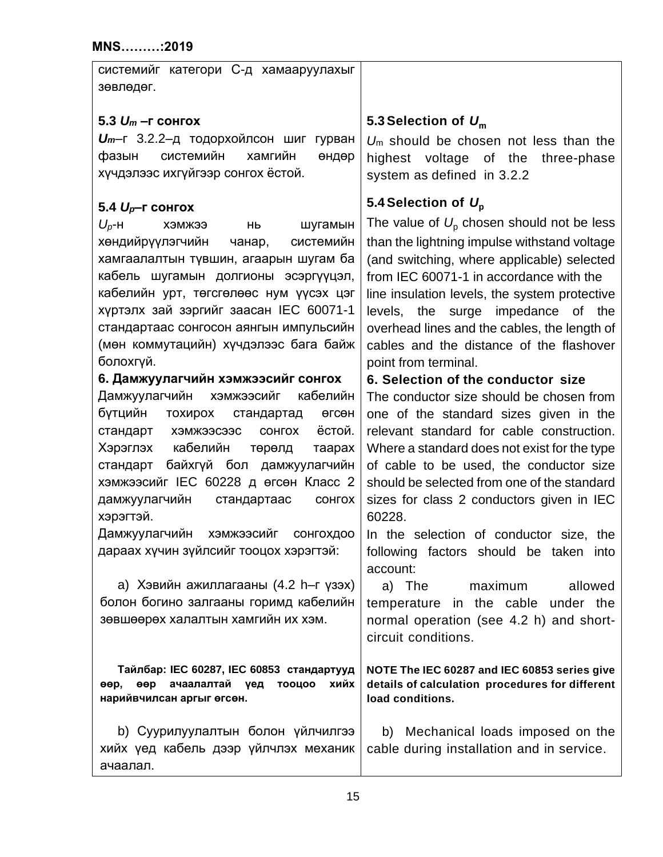<span id="page-14-4"></span><span id="page-14-3"></span><span id="page-14-2"></span><span id="page-14-1"></span><span id="page-14-0"></span>

| системийг категори С-д хамааруулахыг<br>зөвлөдөг. |                                                    |
|---------------------------------------------------|----------------------------------------------------|
| 5.3 $U_m$ –г сонгох                               | 5.3 Selection of $U_m$                             |
| Um-г 3.2.2-д тодорхойлсон шиг гурван              |                                                    |
| системийн<br>хамгийн<br>фазын                     | $U_m$ should be chosen not less than the           |
| өндөр<br>хүчдэлээс ихгүйгээр сонгох ёстой.        | highest voltage of the<br>three-phase              |
|                                                   | system as defined in 3.2.2                         |
| 5.4 $U_p$ –г сонгох                               | 5.4 Selection of $U_p$                             |
| $U_p$ -H<br>шугамын<br>ΗЬ<br>кэмжээ               | The value of $U_{\rm p}$ chosen should not be less |
| системийн<br>хөндийрүүлэгчийн<br>чанар,           | than the lightning impulse withstand voltage       |
| хамгаалалтын түвшин, агаарын шугам ба             | (and switching, where applicable) selected         |
| кабель шугамын долгионы эсэргүүцэл,               | from IEC 60071-1 in accordance with the            |
| кабелийн урт, төгсгөлөөс нум үүсэх цэг            | line insulation levels, the system protective      |
| хүртэлх зай зэргийг заасан IEC 60071-1            | levels, the surge impedance of the                 |
| стандартаас сонгосон аянгын импульсийн            | overhead lines and the cables, the length of       |
| (мөн коммутацийн) хүчдэлээс бага байж             | cables and the distance of the flashover           |
| болохгүй.                                         | point from terminal.                               |
| 6. Дамжуулагчийн хэмжээсийг сонгох                | 6. Selection of the conductor size                 |
| Дамжуулагчийн хэмжээсийг кабелийн                 | The conductor size should be chosen from           |
| бүтцийн<br>тохирох<br>стандартад<br>өгсөн         | one of the standard sizes given in the             |
| ёстой.<br>стандарт<br>хэмжээсээс<br><b>COHFOX</b> | relevant standard for cable construction.          |
| Хэрэглэх кабелийн<br>төрөлд<br>таарах             | Where a standard does not exist for the type       |
| стандарт байхгүй бол дамжуулагчийн                | of cable to be used, the conductor size            |
| хэмжээсийг IEC 60228 д өгсөн Класс 2              | should be selected from one of the standard        |
| дамжуулагчийн<br>стандартаас<br><b>COHFOX</b>     | sizes for class 2 conductors given in IEC          |
| хэрэгтэй.                                         | 60228.                                             |
| Дамжуулагчийн<br><b>ХЭМЖЭЭСИЙГ</b><br>сонгохдоо   | In the selection of conductor size, the            |
| дараах хүчин зүйлсийг тооцох хэрэгтэй:            | following factors should be taken into<br>account: |
| а) Хэвийн ажиллагааны (4.2 h–г үзэх)              | a) The<br>maximum<br>allowed                       |
| болон богино залгааны горимд кабелийн             | temperature in the cable under the                 |
| зөвшөөрөх халалтын хамгийн их хэм.                | normal operation (see 4.2 h) and short-            |
|                                                   | circuit conditions.                                |
|                                                   |                                                    |
| Тайлбар: IEC 60287, IEC 60853 стандартууд         | NOTE The IEC 60287 and IEC 60853 series give       |
| eep<br>ачаалалтай үед<br>тооцоо<br>хийх<br>өөр,   | details of calculation procedures for different    |
| нарийвчилсан аргыг өгсөн.                         | load conditions.                                   |
|                                                   |                                                    |
| b) Суурилуулалтын болон үйлчилгээ                 | b) Mechanical loads imposed on the                 |
| хийх үед кабель дээр үйлчлэх механик              | cable during installation and in service.          |
| ачаалал.                                          |                                                    |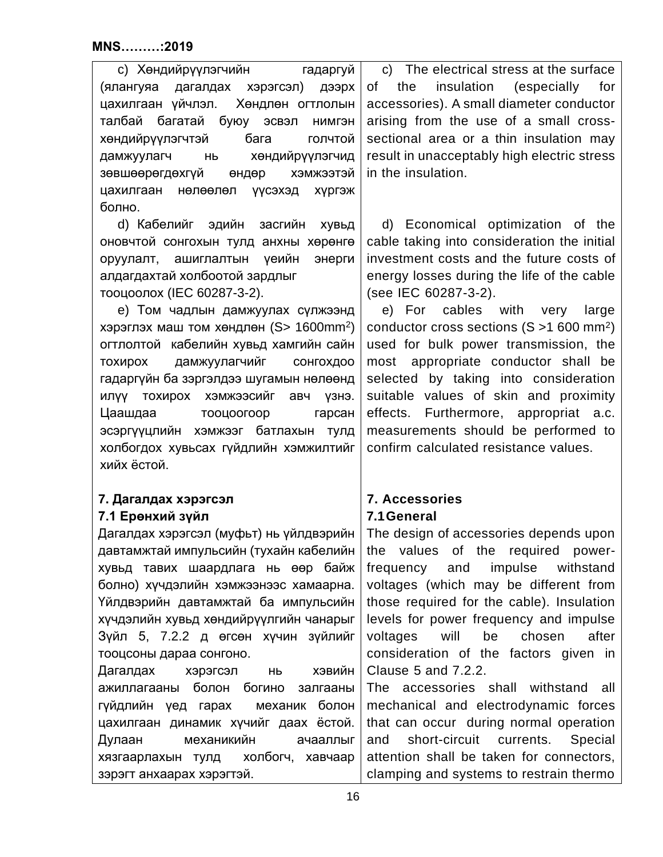| с) Хөндийрүүлэгчийн<br>гадаргуй            | c) The electrical stress at the surface     |  |  |
|--------------------------------------------|---------------------------------------------|--|--|
| хэрэгсэл) дээрх<br>дагалдах<br>(ялангуяа   | the insulation<br>of<br>(especially)<br>for |  |  |
| Хөндлөн огтлолын<br>цахилгаан үйчлэл.      | accessories). A small diameter conductor    |  |  |
| талбай багатай<br>буюу эсвэл нимгэн        | arising from the use of a small cross-      |  |  |
| бага<br>хөндийрүүлэгчтэй<br>голчтой        | sectional area or a thin insulation may     |  |  |
| хөндийрүүлэгчид<br>дамжуулагч нь           | result in unacceptably high electric stress |  |  |
| зөвшөөрөгдөхгүй<br>хэмжээтэй<br>өндөр      | in the insulation.                          |  |  |
| цахилгаан<br>нөлөөлөл<br>хүргэж<br>үүсэхэд |                                             |  |  |
| болно.                                     |                                             |  |  |
| d) Кабелийг эдийн засгийн<br>ХУВЬД         | d) Economical optimization of the           |  |  |
| оновчтой сонгохын тулд анхны хөрөнгө       | cable taking into consideration the initial |  |  |
| оруулалт, ашиглалтын<br>энерги<br>уеийн    | investment costs and the future costs of    |  |  |
| алдагдахтай холбоотой зардлыг              | energy losses during the life of the cable  |  |  |

тооцоолох (IEC 60287-3-2).

e) Том чадлын дамжуулах сүлжээнд хэрэглэх маш том хөндлөн (S> 1600mm<sup>2</sup>) огтлолтой кабелийн хувьд хамгийн сайн тохирох дамжуулагчийг сонгохдоо гадаргүйн ба зэргэлдээ шугамын нөлөөнд илүү тохирох хэмжээсийг авч үзнэ. Цаашдаа тооцоогоор гарсан эсэргүүцлийн хэмжээг батлахын тулд холбогдох хувьсах гүйдлийн хэмжилтийг хийх ёстой.

# <span id="page-15-0"></span>**7. Дагалдах хэрэгсэл 7.1 Ерөнхий зүйл**

<span id="page-15-1"></span>Дагалдах хэрэгсэл (муфьт) нь үйлдвэрийн давтамжтай импульсийн (тухайн кабелийн хувьд тавих шаардлага нь өөр байж болно) хүчдэлийн хэмжээнээс хамаарна. Үйлдвэрийн давтамжтай ба импульсийн хүчдэлийн хувьд хөндийрүүлгийн чанарыг Зүйл 5, 7.2.2 д өгсөн хүчин зүйлийг тооцсоны дараа сонгоно.

Дагалдах хэрэгсэл нь хэвийн ажиллагааны болон богино залгааны гүйдлийн үед гарах механик болон цахилгаан динамик хүчийг даах ёстой. Дулаан механикийн ачааллыг хязгаарлахын тулд холбогч, хавчаар зэрэгт анхаарах хэрэгтэй.

energy losses during the life of the cable (see IEC 60287-3-2). e) For cables with very large

conductor cross sections (S >1 600 mm2) used for bulk power transmission, the most appropriate conductor shall be selected by taking into consideration suitable values of skin and proximity effects. Furthermore, appropriat a.c. measurements should be performed to confirm calculated resistance values.

# <span id="page-15-2"></span>**7. Accessories 7.1General**

<span id="page-15-3"></span>The design of accessories depends upon the values of the required powerfrequency and impulse withstand voltages (which may be different from those required for the cable). Insulation levels for power frequency and impulse voltages will be chosen after consideration of the factors given in Clause 5 and 7.2.2.

The accessories shall withstand all mechanical and electrodynamic forces that can occur during normal operation and short-circuit currents. Special attention shall be taken for connectors, clamping and systems to restrain thermo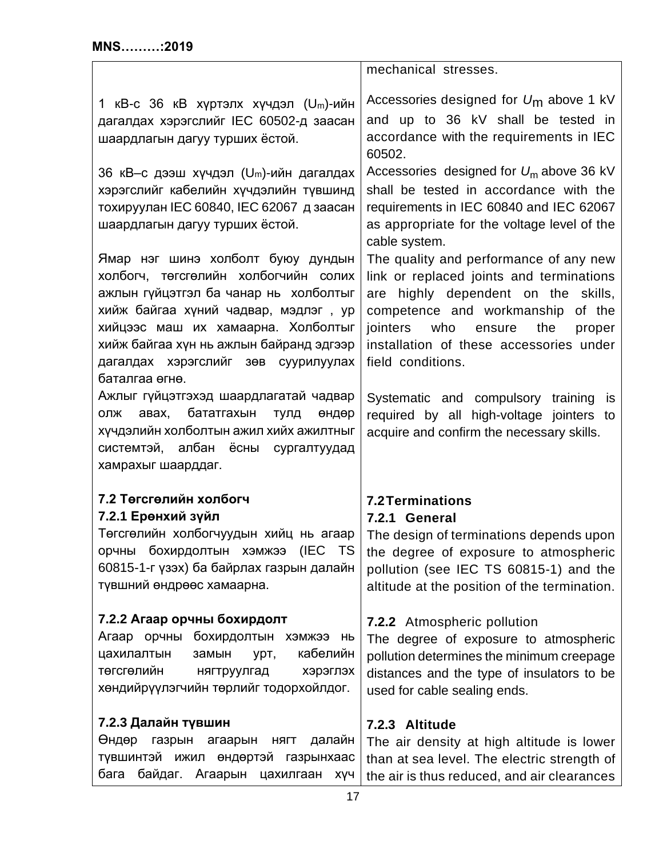<span id="page-16-4"></span><span id="page-16-3"></span><span id="page-16-2"></span><span id="page-16-1"></span><span id="page-16-0"></span>

|                                                                                                                                                                                                                                                                                                      | mechanical stresses.                                                                                                                                                                                                                                                            |  |  |  |
|------------------------------------------------------------------------------------------------------------------------------------------------------------------------------------------------------------------------------------------------------------------------------------------------------|---------------------------------------------------------------------------------------------------------------------------------------------------------------------------------------------------------------------------------------------------------------------------------|--|--|--|
| 1 кВ-с 36 кВ хүртэлх хүчдэл (U <sub>m</sub> )-ийн<br>дагалдах хэрэгслийг IEC 60502-д заасан<br>шаардлагын дагуу турших ёстой.                                                                                                                                                                        | Accessories designed for $U_m$ above 1 kV<br>and up to 36 kV shall be tested in<br>accordance with the requirements in IEC<br>60502.                                                                                                                                            |  |  |  |
| 36 кВ-с дээш хүчдэл (U <sub>m</sub> )-ийн дагалдах<br>хэрэгслийг кабелийн хүчдэлийн түвшинд<br>тохируулан IEC 60840, IEC 62067 д заасан<br>шаардлагын дагуу турших ёстой.                                                                                                                            | Accessories designed for $U_m$ above 36 kV<br>shall be tested in accordance with the<br>requirements in IEC 60840 and IEC 62067<br>as appropriate for the voltage level of the<br>cable system.                                                                                 |  |  |  |
| Ямар нэг шинэ холболт буюу дундын<br>холбогч, төгсгөлийн холбогчийн солих<br>ажлын гүйцэтгэл ба чанар нь холболтыг<br>хийж байгаа хүний чадвар, мэдлэг, ур<br>хийцээс маш их хамаарна. Холболтыг<br>хийж байгаа хүн нь ажлын байранд эдгээр<br>дагалдах хэрэгслийг зөв суурилуулах<br>баталгаа өгнө. | The quality and performance of any new<br>link or replaced joints and terminations<br>are highly dependent on the skills,<br>competence and workmanship<br>of the<br>jointers<br>who<br>the<br>ensure<br>proper<br>installation of these accessories under<br>field conditions. |  |  |  |
| Ажлыг гүйцэтгэхэд шаардлагатай чадвар<br>бататгахын<br>авах,<br>олж<br>тулд<br>өндөр<br>хүчдэлийн холболтын ажил хийх ажилтныг<br>системтэй, албан ёсны сургалтуудад<br>хамрахыг шаарддаг.                                                                                                           | Systematic and compulsory training<br>is<br>required by all high-voltage jointers to<br>acquire and confirm the necessary skills.                                                                                                                                               |  |  |  |
| 7.2 Төгсгөлийн холбогч<br>7.2.1 Ерөнхий зүйл<br>Төгсгөлийн холбогчуудын хийц нь агаар<br>орчны бохирдолтын хэмжээ (IEC TS<br>60815-1-г үзэх) ба байрлах газрын далайн<br>түвшний өндрөөс хамаарна.                                                                                                   | <b>7.2 Terminations</b><br>7.2.1 General<br>The design of terminations depends upon<br>the degree of exposure to atmospheric<br>pollution (see IEC TS 60815-1) and the<br>altitude at the position of the termination.                                                          |  |  |  |
| 7.2.2 Агаар орчны бохирдолт<br>Агаар орчны бохирдолтын хэмжээ нь<br>кабелийн<br>цахилалтын<br>замын<br>урт,<br>төгсгөлийн<br>нягтруулгад<br>хэрэглэх<br>хөндийрүүлэгчийн төрлийг тодорхойлдог.                                                                                                       | <b>7.2.2</b> Atmospheric pollution<br>The degree of exposure to atmospheric<br>pollution determines the minimum creepage<br>distances and the type of insulators to be<br>used for cable sealing ends.                                                                          |  |  |  |
| 7.2.3 Далайн түвшин<br>Өндөр<br>газрын агаарын<br>далайн<br>НЯГТ<br>түвшинтэй ижил өндөртэй газрынхаас<br>бага байдаг. Агаарын цахилгаан хүч                                                                                                                                                         | 7.2.3 Altitude<br>The air density at high altitude is lower<br>than at sea level. The electric strength of<br>the air is thus reduced, and air clearances                                                                                                                       |  |  |  |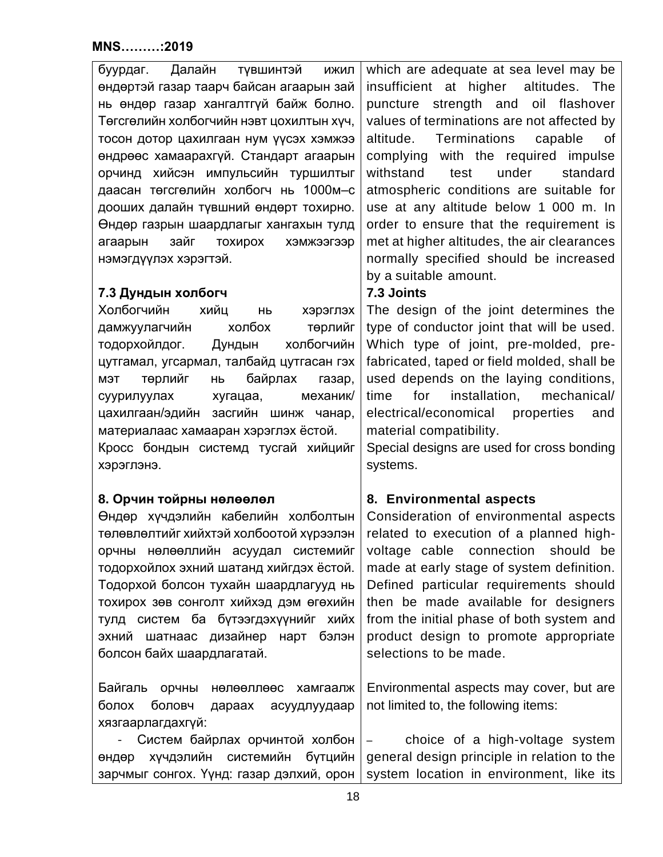<span id="page-17-1"></span><span id="page-17-0"></span>

| Далайн<br>буурдаг.<br>тувшинтэй<br>ижил<br>өндөртэй газар таарч байсан агаарын зай<br>нь өндөр газар хангалтгүй байж болно.<br>Төгсгөлийн холбогчийн нэвт цохилтын хүч,<br>тосон дотор цахилгаан нум үүсэх хэмжээ<br>өндрөөс хамаарахгүй. Стандарт агаарын<br>орчинд хийсэн импульсийн туршилтыг<br>даасан төгсгөлийн холбогч нь 1000м-с<br>дооших далайн түвшний өндөрт тохирно.<br>Өндөр газрын шаардлагыг хангахын тулд<br>зайг<br>тохирох<br>хэмжээгээр<br>агаарын<br>нэмэгдүүлэх хэрэгтэй. | which are adequate at sea level may be<br>insufficient at higher<br>altitudes. The<br>puncture strength and<br>oil<br>flashover<br>values of terminations are not affected by<br>Terminations<br>altitude.<br>capable<br>0f<br>complying with the required impulse<br>under<br>withstand<br>test<br>standard<br>atmospheric conditions are suitable for<br>use at any altitude below 1 000 m. In<br>order to ensure that the requirement is<br>met at higher altitudes, the air clearances<br>normally specified should be increased |  |  |
|-------------------------------------------------------------------------------------------------------------------------------------------------------------------------------------------------------------------------------------------------------------------------------------------------------------------------------------------------------------------------------------------------------------------------------------------------------------------------------------------------|--------------------------------------------------------------------------------------------------------------------------------------------------------------------------------------------------------------------------------------------------------------------------------------------------------------------------------------------------------------------------------------------------------------------------------------------------------------------------------------------------------------------------------------|--|--|
|                                                                                                                                                                                                                                                                                                                                                                                                                                                                                                 | by a suitable amount.                                                                                                                                                                                                                                                                                                                                                                                                                                                                                                                |  |  |
| 7.3 Дундын холбогч<br>Холбогчийн<br>ХИЙЦ<br>хэрэглэх<br>HЬ<br>холбох<br>төрлийг<br>дамжуулагчийн<br>холбогчийн<br>тодорхойлдог.<br>Дундын<br>цутгамал, угсармал, талбайд цутгасан гэх<br>байрлах<br>төрлийг<br><b>H<sub>D</sub></b><br>газар,<br>МЭТ<br>суурилуулах<br>хугацаа,<br>механик/<br>цахилгаан/эдийн засгийн шинж чанар,<br>материалаас хамааран хэрэглэх ёстой.<br>Кросс бондын системд тусгай хийцийг<br>хэрэглэнэ.                                                                 | 7.3 Joints<br>The design of the joint determines the<br>type of conductor joint that will be used.<br>Which type of joint, pre-molded, pre-<br>fabricated, taped or field molded, shall be<br>used depends on the laying conditions,<br>for<br>installation,<br>mechanical/<br>time<br>electrical/economical properties<br>and<br>material compatibility.<br>Special designs are used for cross bonding<br>systems.                                                                                                                  |  |  |
|                                                                                                                                                                                                                                                                                                                                                                                                                                                                                                 |                                                                                                                                                                                                                                                                                                                                                                                                                                                                                                                                      |  |  |
| 8. Орчин тойрны нөлөөлөл<br>Өндөр хүчдэлийн кабелийн холболтын<br>төлөвлөлтийг хийхтэй холбоотой хүрээлэн<br>орчны нөлөөллийн асуудал системийг<br>тодорхойлох эхний шатанд хийгдэх ёстой.<br>Тодорхой болсон тухайн шаардлагууд нь<br>тохирох зөв сонголт хийхэд дэм өгөхийн<br>тулд систем ба бүтээгдэхүүнийг хийх<br>эхний шатнаас дизайнер<br>нарт бэлэн<br>болсон байх шаардлагатай.                                                                                                       | 8. Environmental aspects<br>Consideration of environmental aspects<br>related to execution of a planned high-<br>voltage cable connection should be<br>made at early stage of system definition.<br>Defined particular requirements should<br>then be made available for designers<br>from the initial phase of both system and<br>product design to promote appropriate<br>selections to be made.                                                                                                                                   |  |  |
| Байгаль орчны<br>нөлөөллөөс<br>хамгаалж<br>болох<br>боловч<br>дараах<br>асуудлуудаар<br>хязгаарлагдахгүй:<br>Систем байрлах орчинтой холбон                                                                                                                                                                                                                                                                                                                                                     | Environmental aspects may cover, but are<br>not limited to, the following items:<br>choice of a high-voltage system<br>$\overline{\phantom{a}}$                                                                                                                                                                                                                                                                                                                                                                                      |  |  |
| хүчдэлийн системийн бүтцийн<br>өндөр<br>зарчмыг сонгох. Үүнд: газар дэлхий, орон                                                                                                                                                                                                                                                                                                                                                                                                                | general design principle in relation to the<br>system location in environment, like its                                                                                                                                                                                                                                                                                                                                                                                                                                              |  |  |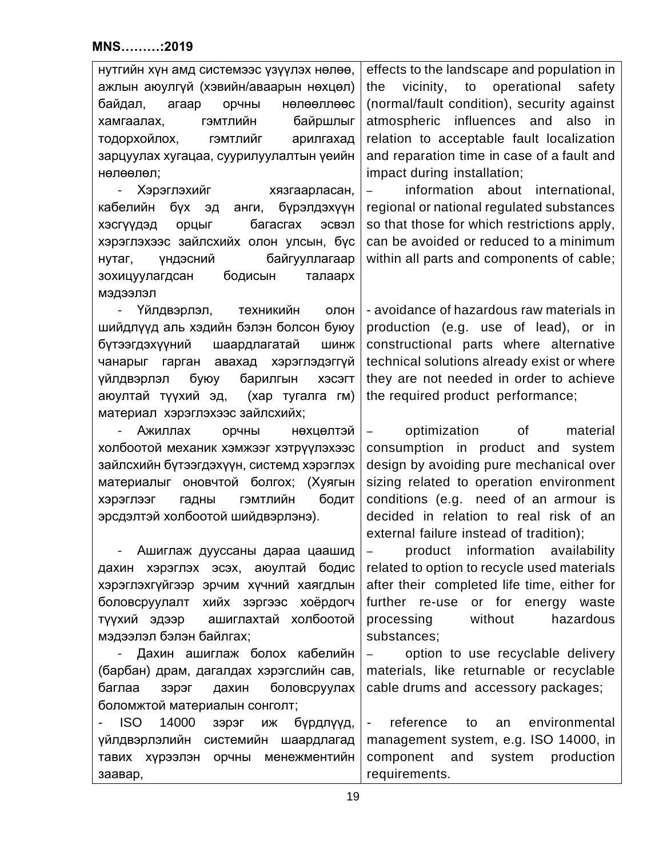| нутгийн хүн амд системээс үзүүлэх нөлөө,                  | effects to the landscape and population in                      |  |  |  |
|-----------------------------------------------------------|-----------------------------------------------------------------|--|--|--|
| ажлын аюулгүй (хэвийн/аваарын нөхцөл)                     | vicinity,<br>to<br>operational<br>safety<br>the                 |  |  |  |
| нөлөөллөөс<br>байдал,<br>агаар<br>орчны                   | (normal/fault condition), security against                      |  |  |  |
| гэмтлийн<br>байршлыг<br>хамгаалах,                        | atmospheric influences and also in                              |  |  |  |
| тодорхойлох, гэмтлийг<br>арилгахад                        | relation to acceptable fault localization                       |  |  |  |
| зарцуулах хугацаа, суурилуулалтын үеийн                   | and reparation time in case of a fault and                      |  |  |  |
| нөлөөлөл;                                                 | impact during installation;                                     |  |  |  |
| Хэрэглэхийг хязгаарласан,<br>$\overline{\phantom{a}}$     | information about international,<br>$\frac{1}{2}$               |  |  |  |
| бүх эд анги, бүрэлдэхүүн<br>кабелийн                      | regional or national regulated substances                       |  |  |  |
| багасгах<br>орцыг<br>ЭСВЭЛ<br>хэсгүүдэд                   | so that those for which restrictions apply,                     |  |  |  |
| хэрэглэхээс зайлсхийх олон улсын, бүс                     | can be avoided or reduced to a minimum                          |  |  |  |
| байгууллагаар<br>үндэсний<br>нутаг,                       | within all parts and components of cable;                       |  |  |  |
| бодисын<br>зохицуулагдсан<br>талаарх                      |                                                                 |  |  |  |
| мэдээлэл                                                  |                                                                 |  |  |  |
| Үйлдвэрлэл, техникийн<br>олон                             | - avoidance of hazardous raw materials in                       |  |  |  |
| шийдлүүд аль хэдийн бэлэн болсон буюу                     | production (e.g. use of lead), or in                            |  |  |  |
| бүтээгдэхүүний шаардлагатай<br>ШИНЖ                       | constructional parts where alternative                          |  |  |  |
| чанарыг гарган авахад хэрэглэдэггүй                       | technical solutions already exist or where                      |  |  |  |
| барилгын<br>буюу<br>үйлдвэрлэл<br>ХЭСЭГТ                  | they are not needed in order to achieve                         |  |  |  |
| аюултай түүхий эд, (хар тугалга гм)                       | the required product performance;                               |  |  |  |
| материал хэрэглэхээс зайлсхийх;                           |                                                                 |  |  |  |
| Ажиллах<br>орчны<br>нөхцөлтэй<br>$\overline{\phantom{a}}$ | optimization<br>of the control<br>material<br>$\qquad \qquad -$ |  |  |  |
| холбоотой механик хэмжээг хэтрүүлэхээс                    | consumption in product and system                               |  |  |  |
| зайлсхийн бүтээгдэхүүн, системд хэрэглэх                  | design by avoiding pure mechanical over                         |  |  |  |
| материалыг оновчтой болгох; (Хуягын                       | sizing related to operation environment                         |  |  |  |
| <b>ГЭМТЛИЙН</b><br>бодит<br>гадны<br>хэрэглээг            | conditions (e.g. need of an armour is                           |  |  |  |
| эрсдэлтэй холбоотой шийдвэрлэнэ).                         | decided in relation to real risk of an                          |  |  |  |
|                                                           | external failure instead of tradition);                         |  |  |  |
| Ашиглаж дууссаны дараа цаашид                             | product information availability                                |  |  |  |
| дахин хэрэглэх эсэх, аюултай бодис                        | related to option to recycle used materials                     |  |  |  |
| хэрэглэхгүйгээр эрчим хүчний хаягдлын                     | after their completed life time, either for                     |  |  |  |
| боловсруулалт хийх зэргээс хоёрдогч                       | further re-use or for energy waste                              |  |  |  |
| түүхий эдээр ашиглахтай холбоотой                         | without<br>processing<br>hazardous                              |  |  |  |
| мэдээлэл бэлэн байлгах;                                   | substances;                                                     |  |  |  |
| Дахин ашиглаж болох кабелийн                              | option to use recyclable delivery                               |  |  |  |
| (барбан) драм, дагалдах хэрэгслийн сав,                   | materials, like returnable or recyclable                        |  |  |  |
| боловсруулах<br>баглаа<br>зэрэг<br>дахин                  | cable drums and accessory packages;                             |  |  |  |
| боломжтой материалын сонголт;                             |                                                                 |  |  |  |
| <b>ISO</b><br>14000<br>бүрдлүүд,<br>зэрэг<br>ИЖ           | reference<br>environmental<br>to<br>an<br>$\blacksquare$        |  |  |  |
| үйлдвэрлэлийн системийн шаардлагад                        | management system, e.g. ISO 14000, in                           |  |  |  |
| тавих хүрээлэн орчны менежментийн                         | component<br>and system<br>production                           |  |  |  |
| заавар,                                                   | requirements.                                                   |  |  |  |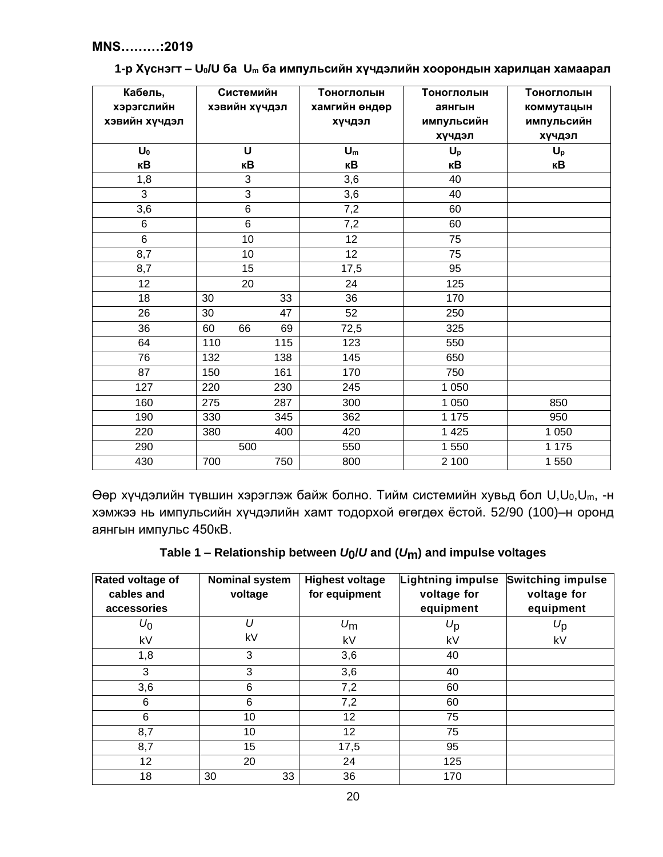| Кабель,<br>хэрэгслийн<br>хэвийн хүчдэл |     | Системийн<br>хэвийн хүчдэл |     | Тоноглолын<br>хамгийн өндөр<br>хүчдэл | Тоноглолын<br>аянгын<br>импульсийн<br>хүчдэл | Тоноглолын<br>коммутацын<br>импульсийн<br>хүчдэл |
|----------------------------------------|-----|----------------------------|-----|---------------------------------------|----------------------------------------------|--------------------------------------------------|
| $U_0$                                  |     | $\mathbf U$                |     | $U_m$                                 | $U_p$                                        | $U_p$                                            |
| кB                                     |     | кB                         |     | кB                                    | кB                                           | кB                                               |
| 1,8                                    |     | 3                          |     | 3,6                                   | 40                                           |                                                  |
| 3                                      |     | 3                          |     | $\overline{3,6}$                      | 40                                           |                                                  |
| 3,6                                    |     | 6                          |     | 7,2                                   | 60                                           |                                                  |
| 6                                      |     | $\,6\,$                    |     | 7,2                                   | 60                                           |                                                  |
| $\overline{6}$                         |     | 10                         |     | $\overline{12}$                       | 75                                           |                                                  |
| 8,7                                    |     | 10                         |     | 12                                    | 75                                           |                                                  |
| 8,7                                    |     | $\overline{15}$            |     | 17,5                                  | 95                                           |                                                  |
| 12                                     |     | 20                         |     | 24                                    | 125                                          |                                                  |
| 18                                     | 30  |                            | 33  | 36                                    | 170                                          |                                                  |
| $\overline{26}$                        | 30  |                            | 47  | 52                                    | 250                                          |                                                  |
| 36                                     | 60  | 66                         | 69  | 72,5                                  | 325                                          |                                                  |
| 64                                     | 110 |                            | 115 | 123                                   | 550                                          |                                                  |
| 76                                     | 132 |                            | 138 | 145                                   | 650                                          |                                                  |
| 87                                     | 150 |                            | 161 | 170                                   | 750                                          |                                                  |
| 127                                    | 220 |                            | 230 | 245                                   | 1 0 5 0                                      |                                                  |
| 160                                    | 275 |                            | 287 | 300                                   | 1 0 5 0                                      | 850                                              |
| 190                                    | 330 |                            | 345 | 362                                   | 1 1 7 5                                      | 950                                              |
| 220                                    | 380 |                            | 400 | 420                                   | 1 4 2 5                                      | 1 0 5 0                                          |
| 290                                    |     | 500                        |     | 550                                   | 1 550                                        | 1 175                                            |
| 430                                    | 700 |                            | 750 | 800                                   | 2 100                                        | 1550                                             |

## **1-р Хүснэгт – U0/U ба U<sup>m</sup> ба импульсийн хүчдэлийн хоорондын харилцан хамаарал**

Өөр хүчдэлийн түвшин хэрэглэж байж болно. Тийм системийн хувьд бол U,U0,Um, -н хэмжээ нь импульсийн хүчдэлийн хамт тодорхой өгөгдөх ёстой. 52/90 (100)–н оронд аянгын импульс 450кВ.

| Rated voltage of<br>cables and<br>accessories | <b>Nominal system</b><br>voltage | <b>Highest voltage</b><br>for equipment | <b>Lightning impulse</b><br>voltage for<br>equipment | <b>Switching impulse</b><br>voltage for<br>equipment |
|-----------------------------------------------|----------------------------------|-----------------------------------------|------------------------------------------------------|------------------------------------------------------|
| $U_0$                                         | U                                | $U_{\rm m}$                             | $U_{\mathsf{p}}$                                     | $U_{\mathsf{p}}$                                     |
| kV                                            | kV                               | kV                                      | kV                                                   | kV                                                   |
| 1,8                                           | 3                                | 3,6                                     | 40                                                   |                                                      |
| 3                                             | 3                                | 3,6                                     | 40                                                   |                                                      |
| 3,6                                           | $6\phantom{1}6$                  | 7,2                                     | 60                                                   |                                                      |
| 6                                             | $6\phantom{1}6$                  | 7,2                                     | 60                                                   |                                                      |
| 6                                             | 10                               | 12                                      | 75                                                   |                                                      |
| 8,7                                           | 10                               | 12                                      | 75                                                   |                                                      |
| 8,7                                           | 15                               | 17,5                                    | 95                                                   |                                                      |
| 12                                            | 20                               | 24                                      | 125                                                  |                                                      |
| 18                                            | 30<br>33                         | 36                                      | 170                                                  |                                                      |

| Table 1 – Relationship between $U_0/U$ and $(U_m)$ and impulse voltages |  |  |  |
|-------------------------------------------------------------------------|--|--|--|
|-------------------------------------------------------------------------|--|--|--|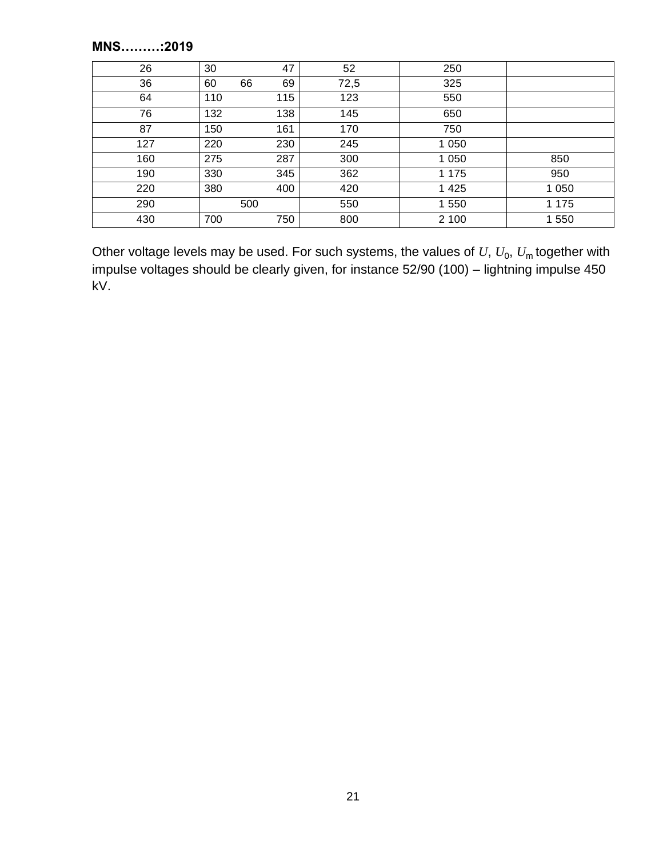| 26  | 30  | 47       | 52   | 250     |         |
|-----|-----|----------|------|---------|---------|
| 36  | 60  | 69<br>66 | 72,5 | 325     |         |
| 64  | 110 | 115      | 123  | 550     |         |
| 76  | 132 | 138      | 145  | 650     |         |
| 87  | 150 | 161      | 170  | 750     |         |
| 127 | 220 | 230      | 245  | 1 0 5 0 |         |
| 160 | 275 | 287      | 300  | 1 0 5 0 | 850     |
| 190 | 330 | 345      | 362  | 1 1 7 5 | 950     |
| 220 | 380 | 400      | 420  | 1 4 2 5 | 1 0 5 0 |
| 290 |     | 500      | 550  | 1 550   | 1 1 7 5 |
| 430 | 700 | 750      | 800  | 2 100   | 1 550   |

Other voltage levels may be used. For such systems, the values of  $U$ ,  $U_0$ ,  $U_{\mathsf{m}}$  together with impulse voltages should be clearly given, for instance 52/90 (100) – lightning impulse 450 kV.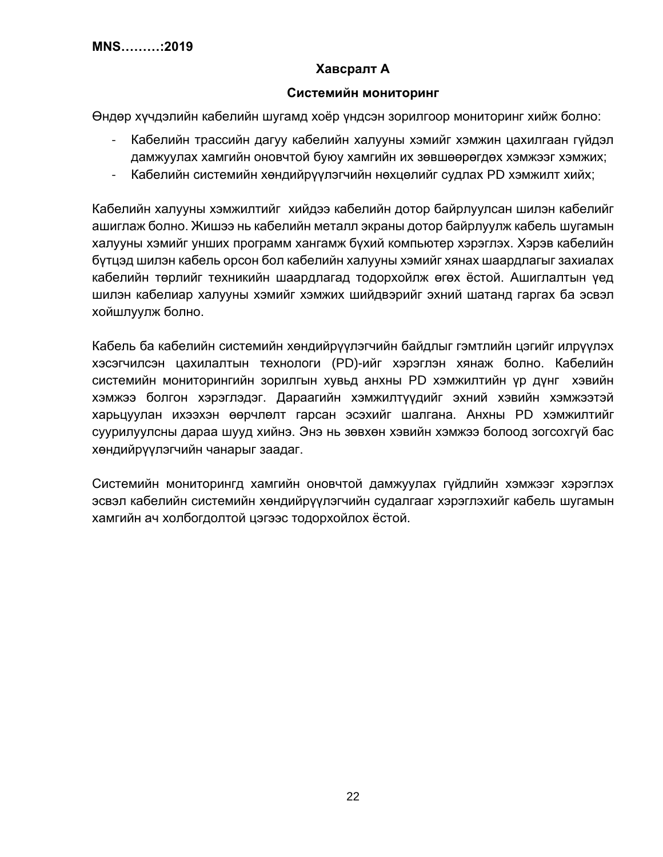# **Хавсралт А**

## **Системийн мониторинг**

<span id="page-21-0"></span>Өндөр хүчдэлийн кабелийн шугамд хоёр үндсэн зорилгоор мониторинг хийж болно:

- Кабелийн трассийн дагуу кабелийн халууны хэмийг хэмжин цахилгаан гүйдэл дамжуулах хамгийн оновчтой буюу хамгийн их зөвшөөрөгдөх хэмжээг хэмжих;
- Кабелийн системийн хөндийрүүлэгчийн нөхцөлийг судлах PD хэмжилт хийх;

Кабелийн халууны хэмжилтийг хийдээ кабелийн дотор байрлуулсан шилэн кабелийг ашиглаж болно. Жишээ нь кабелийн металл экраны дотор байрлуулж кабель шугамын халууны хэмийг унших программ хангамж бүхий компьютер хэрэглэх. Хэрэв кабелийн бүтцэд шилэн кабель орсон бол кабелийн халууны хэмийг хянах шаардлагыг захиалах кабелийн төрлийг техникийн шаардлагад тодорхойлж өгөх ёстой. Ашиглалтын үед шилэн кабелиар халууны хэмийг хэмжих шийдвэрийг эхний шатанд гаргах ба эсвэл хойшлуулж болно.

Кабель ба кабелийн системийн хөндийрүүлэгчийн байдлыг гэмтлийн цэгийг илрүүлэх хэсэгчилсэн цахилалтын технологи (PD)-ийг хэрэглэн хянаж болно. Кабелийн системийн мониторингийн зорилгын хувьд анхны PD хэмжилтийн үр дүнг хэвийн хэмжээ болгон хэрэглэдэг. Дараагийн хэмжилтүүдийг эхний хэвийн хэмжээтэй харьцуулан ихээхэн өөрчлөлт гарсан эсэхийг шалгана. Анхны PD хэмжилтийг суурилуулсны дараа шууд хийнэ. Энэ нь зөвхөн хэвийн хэмжээ болоод зогсохгүй бас хөндийрүүлэгчийн чанарыг заадаг.

Системийн мониторингд хамгийн оновчтой дамжуулах гүйдлийн хэмжээг хэрэглэх эсвэл кабелийн системийн хөндийрүүлэгчийн судалгааг хэрэглэхийг кабель шугамын хамгийн ач холбогдолтой цэгээс тодорхойлох ёстой.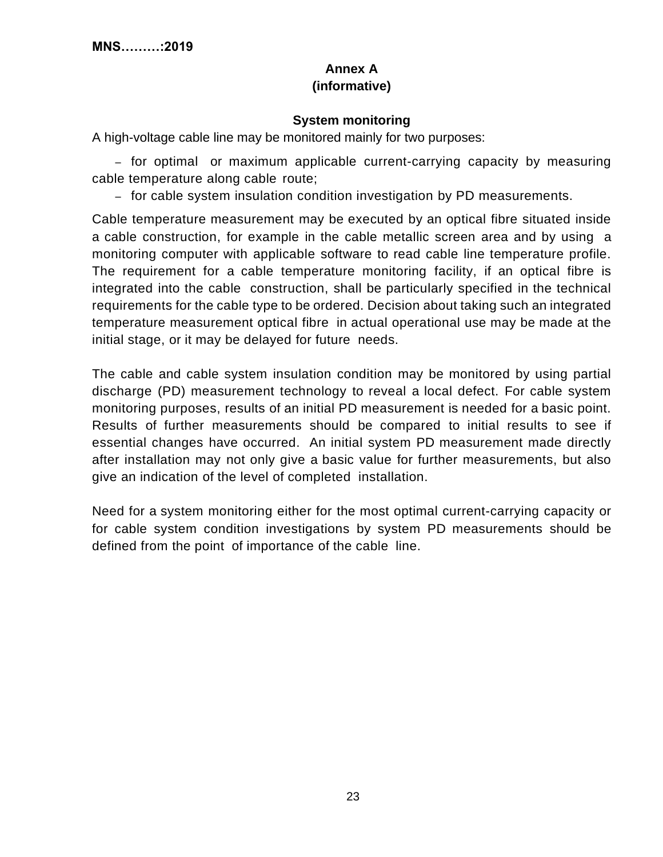## **Annex A (informative)**

## **System monitoring**

<span id="page-22-0"></span>A high-voltage cable line may be monitored mainly for two purposes:

– for optimal or maximum applicable current-carrying capacity by measuring cable temperature along cable route;

– for cable system insulation condition investigation by PD measurements.

Cable temperature measurement may be executed by an optical fibre situated inside a cable construction, for example in the cable metallic screen area and by using a monitoring computer with applicable software to read cable line temperature profile. The requirement for a cable temperature monitoring facility, if an optical fibre is integrated into the cable construction, shall be particularly specified in the technical requirements for the cable type to be ordered. Decision about taking such an integrated temperature measurement optical fibre in actual operational use may be made at the initial stage, or it may be delayed for future needs.

The cable and cable system insulation condition may be monitored by using partial discharge (PD) measurement technology to reveal a local defect. For cable system monitoring purposes, results of an initial PD measurement is needed for a basic point. Results of further measurements should be compared to initial results to see if essential changes have occurred. An initial system PD measurement made directly after installation may not only give a basic value for further measurements, but also give an indication of the level of completed installation.

Need for a system monitoring either for the most optimal current-carrying capacity or for cable system condition investigations by system PD measurements should be defined from the point of importance of the cable line.